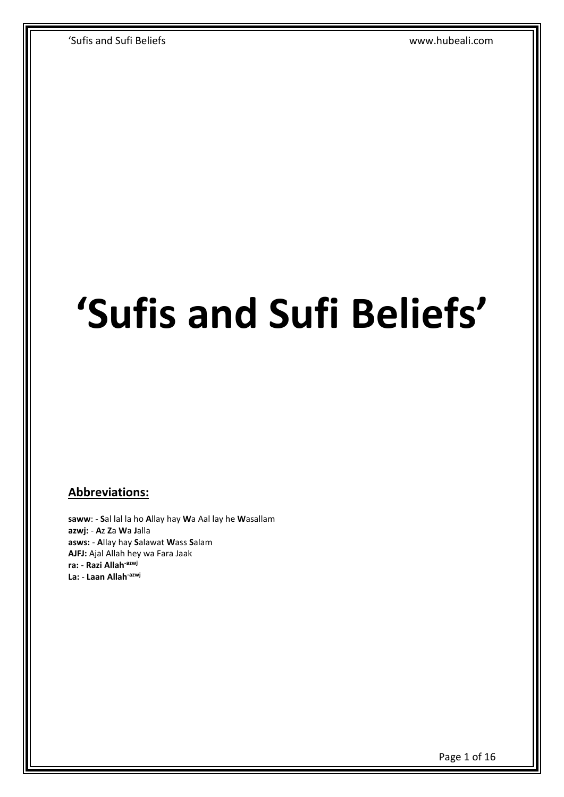# **'Sufis and Sufi Beliefs'**

## **Abbreviations:**

**saww**: - **S**al lal la ho **A**llay hay **W**a Aal lay he **W**asallam **azwj:** - **A**z **Z**a **W**a **J**alla **asws:** - **A**llay hay **S**alawat **W**ass **S**alam **AJFJ:** Ajal Allah hey wa Fara Jaak **ra:** - **Razi Allah-azwj La:** - **Laan Allah-azwj**

Page 1 of 16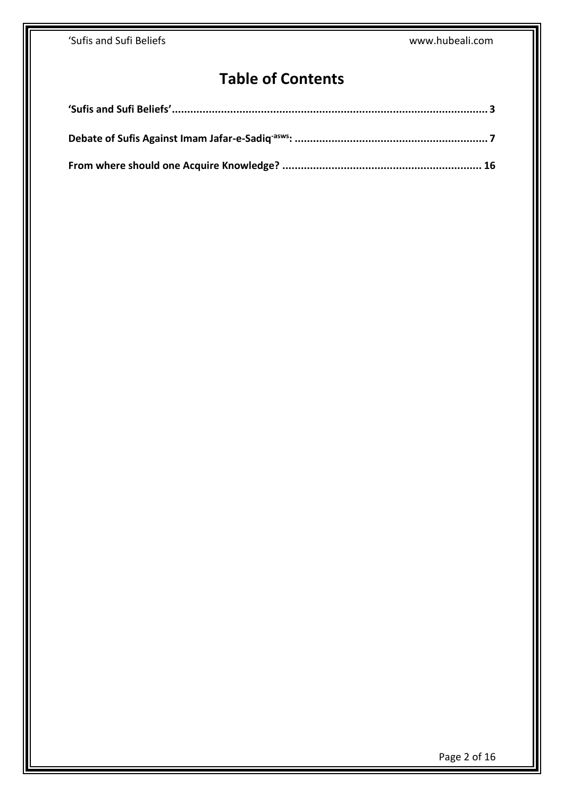# **Table of Contents**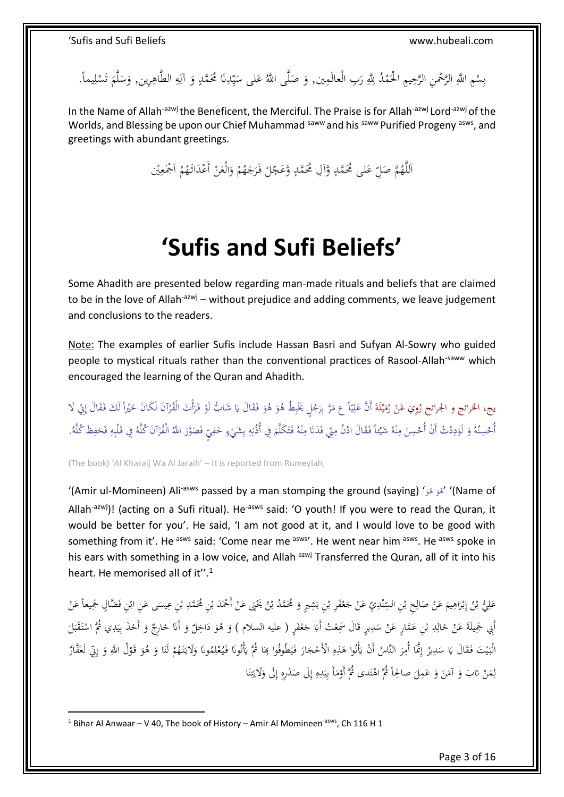بِسْمِ اللَّهِ الرَّحْمنِ الرَّحِيمِ الْحَمْدُ لِلَّهِ رَبِ الْعالَمِين, وَ صَلَّى اللَّهُ عَلى سَيِّدِنَا مُحَمَّدٍ وَ آلِهِ الطَّاهِرِين, وَسَلَّمَ تَسْلِيماً. ْ ب ِ ام<br>ا َ َ لَ  $\ddot{\phantom{0}}$ َ ٍ<br>به ِ َ **ٍ** ِ ي  $\ddot{\phantom{0}}$ µ ا  $\ddot{\phantom{0}}$ َ ِ ْ ت

In the Name of Allah<sup>-azwj</sup> the Beneficent, the Merciful. The Praise is for Allah<sup>-azwj</sup> Lord<sup>-azwj</sup> of the Worlds, and Blessing be upon our Chief Muhammad<sup>-saww</sup> and his<sup>-saww</sup> Purified Progeny<sup>-asws</sup>, and greetings with abundant greetings.

> للَّهُمَّ صَلِّ عَلى مُحَمَّدٍ وَّآلِ مُحَمَّدٍ وَّعَجِّلْ فَرَجَهُمْ وَالْعَنْ أَعْدَاثَهُمْ اَجْمَعِيْن ِ ا ْ ْ َ ْ َ .<br>ر ْ ِ<br>∕∶ .<br>∙ **ٍ** </sub>  $\frac{1}{2}$ ا

# **'Sufis and Sufi Beliefs'**

<span id="page-2-0"></span>Some Ahadith are presented below regarding man-made rituals and beliefs that are claimed to be in the love of Allah<sup>-azwj</sup> – without prejudice and adding comments, we leave judgement and conclusions to the readers.

Note: The examples of earlier Sufis include Hassan Basri and Sufyan Al-Sowry who guided people to mystical rituals rather than the conventional practices of Rasool-Allah-saww which encouraged the learning of the Quran and Ahadith.

<u>ة</u> يج، الخرائج و الجرائح رُوِيَ عَنْ رُمَيْلَةَ أَنَّ عَلِيّاً ع مَرَّ بِرَجُلٍ يَخْبِطُ هُوَ هُوَ فَقَالَ يَا شَابُّ لَوْ قَرَأْتَ الْقُرْآنَ لَكَانَ خَيْراً لَكَ فَقَالَ إِيِّ لَا<br>. **ٔ** ي َ ْ َ ر<br>ا أْ َ .<br>م َ ∫ ب ُ<br>ا ِ<br>بہ ب ام<br>ا ي ِ ا<br>ک ا .<br>م لَ  $\overline{a}$ ا ْ ْ أُحْسِنُهُ وَ لَوَدِدْتُ أَنْ أُحْسِنَ مِنْهُ شَيْئاً فَقَالَ ادْنُ مِنِّي فَدَنَا مِنْهُ فَتَكَلَّمَ فِي أُذْنِهِ بِشَيْءٍ حَفِيتٍ فَصَوَّرَ اللَّهُ الْقُرْآنَ كُلَّهُ فِي قَلْبِهِ فَحَفِظَ كُلَّهُ. ِ ب ∫ ِ َ <u>بُ</u> ت َ ن **∕** َ .<br>: ن **∕** َ ∫, َ َ ن .<br>ء ∫<br>A َ ِ<br>|4 ِ ر<br>ا .<br>ا ا<br>ا ∫<br>} َ

(The book) 'Al Kharaij Wa Al Jaraih' – It is reported from Rumeylah,

'(Amir ul-Momineen) Ali<sup>-asws</sup> passed by a man stomping the ground (saying) 'هُوَ هُوَ' (Name of </sub> </sub> Allah<sup>-azwj</sup>)! (acting on a Sufi ritual). He<sup>-asws</sup> said: 'O youth! If you were to read the Quran, it would be better for you'. He said, 'I am not good at it, and I would love to be good with something from it'. He<sup>-asws</sup> said: 'Come near me<sup>-asws</sup>'. He went near him<sup>-asws</sup>. He<sup>-asws</sup> spoke in his ears with something in a low voice, and Allah<sup>-azwj</sup> Transferred the Quran, all of it into his heart. He memorised all of it''.<sup>1</sup>

ْ ب ٔ<br>ا عَلِيُّ بْنُ إِبْرَاهِيمَ عَنْ صَالِحٍ بْنِ السِّنْدِيِّ عَنْ جَعْفَرِ بْنِ بَشِيرٍ وَ مُحَمَّدُ بْنُ يَخْيَى عَنْ أَحْمَدَ بْنِ مُحَمَّدِ بْنِ عِيسَى عَنِ ابْنِ فَضَّالٍ جَمِيعاً عَنْ .<br>-<br>-َ ب َ ْ .<br>م ْ َ ِ ن ِ ْ ِ  $\overline{\phantom{a}}$ ا ِ َ .<br>. إ ب ِ َ .<br>-<br>-**ٔ** َ  $\ddot{\phantom{0}}$ **ٔ** ب ِ أَبِي جَمِيلَةَ عَنْ خَالِدِ بْنِ عَمَّارٍ عَنْ سَدِيرٍ قَالَ سَمِعْتُ أَبَا جَعْفَرٍ ( عليه السلام ) وَ هُوَ دَاخِلٌ وَ أَنَا خَارِجٌ وَ أَخَذَ بِيَدِي ثُمَّ اسْتَقْبَلَ ٍ<br>ئ ِ  $\overline{a}$ ْ ب ِ J َ َ .<br>. َ َ َ َ ُ<br>م ْ َ ٍ<sup>ّ</sup> .<br>: ب ة<br>أ ;ّ **ـ** ِ  $\ddot{\phantom{0}}$ ي ِ .<br>م َ الْبَيْتَ فَقَالَ يَا سَدِيرُ إِنَّمَا أُمِرَ النَّاسُ أَنْ يَأْتُوا هَذِهِ الْأَحْجَارَ فَيَطُوفُوا بِحَا ثُمَّ يَأْتُونَا فَيُعْلِمُونَا وَلَايَتَهُمْ لَنَا وَ هُوَ قَوْلُ اللَّهِ وَ إِنِّي لَغَفَّارٌ <u>َ</u>ّ یا<br>-ُ<br>نا ام<br>ا ي َ .<br>. َ ِ ِ ٔ<br>م یا<br>-.<br>. ِ إ ِ  $\overline{a}$ َ ي ا<br>ا ْ َ ِ ْ .<br>. اٍ إ َ ْ َ َ مَنْ نابَ وَ آمَنَ وَ عَمِلَ صالحِاً ثُمَّ اهْتَدى ثُمَّ أَوْمَأَ بِيَدِهِ إِلَى صَدْرِهِ إِلَى وَلَايَتِنَا .<br>. ن ِ ت نة<br>أ َ ِ إ ِ إ ِ ِ .<br>: ي ِ ا<br>ا <u>ٔ</u> ت å<br>. َ َ ا<br>ا َ ْ  $\overline{a}$ ِ ل

1

<sup>&</sup>lt;sup>1</sup> Bihar Al Anwaar – V 40. The book of History – Amir Al Momineen<sup>-asws</sup>, Ch 116 H 1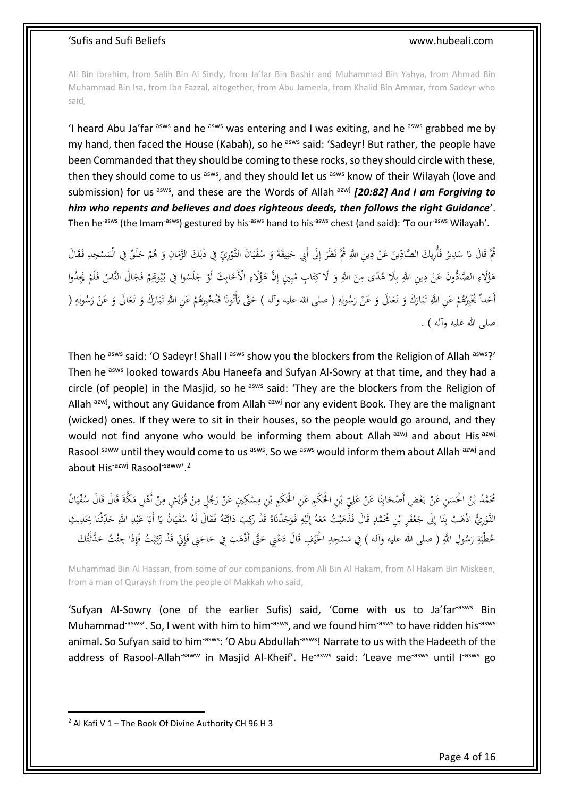Ali Bin Ibrahim, from Salih Bin Al Sindy, from Ja'far Bin Bashir and Muhammad Bin Yahya, from Ahmad Bin Muhammad Bin Isa, from Ibn Fazzal, altogether, from Abu Jameela, from Khalid Bin Ammar, from Sadeyr who said,

'I heard Abu Ja'far<sup>-asws</sup> and he<sup>-asws</sup> was entering and I was exiting, and he<sup>-asws</sup> grabbed me by my hand, then faced the House (Kabah), so he<sup>-asws</sup> said: 'Sadeyr! But rather, the people have been Commanded that they should be coming to these rocks, so they should circle with these, then they should come to us<sup>-asws</sup>, and they should let us<sup>-asws</sup> know of their Wilayah (love and submission) for us<sup>-asws</sup>, and these are the Words of Allah<sup>-azwj</sup> [20:82] And I am Forgiving to *him who repents and believes and does righteous deeds, then follows the right Guidance*'. Then he<sup>-asws</sup> (the Imam<sup>-asws</sup>) gestured by his<sup>-asws</sup> hand to his<sup>-asws</sup> chest (and said): 'To our<sup>-asws</sup> Wilayah'.

ِّي مُّمَ قَالَ يَا سَدِيرُ فَأُرِيكَ الصَّادِّينَ عَنْ دِينِ اللَّهِ ثُمَّ نَظَرَ إِلَى أَبِي حَنِيفَةَ وَ سُفْيَانَ الثَّوْرِيِّ فِي ذَلِكَ الزَّمَانِ وَ هُمْ حَلَقٌ فِي الْمَسْجِدِ فَقَالَ <u>ٔ</u>  $\ddot{\phantom{0}}$ ي .<br>م َ .<br>ب ن َ ׀ٍّ. إ َ **∶** ْ َ ∶' ن<br>ن ِ  $\ddot{\phantom{0}}$ ِ َ َ  $\overline{\phantom{a}}$ ِ .<br>-هَؤُلَاءِ الصَّادُّونَ عَنْ دِينِ اللَّهِ بِلَا هُدًى مِنَ اللَّهِ وَ لَاكِتَابٍ مُبِينٍ إِنَّ هَؤُلَاءِ الْأَخَابِثَ لَوْ جَلَسُوا فِي بُيُوتِمِمْ فَجَالَ النَّاسُ فَلَمْ يَجِدُوا ِ<br>با ب ∫, ْ ِ ٔ<br>أ ي **م** ِ َ ِ **ہ** ِ ب َ ت َ َ ∕ ∶ُ<br>∶ َ .<br>. ْ ٔ أَخداً يُخْبِرُهُمْ عَنِ اللَّهِ تَبَارَكَ وَ تَعَالَى وَ عَنْ رَسُولِهِ ( صلى الله عليه وآله ) حَتَّى يَأْتُونَا فَنُحْبِرَهُمْ عَنِ اللَّهِ تَبَارَكَ وَ تَعَالَى وَ عَنْ رَسُولِهِ ( ن َ .<br>نا یا<br>-َ ِ J َ ْ َ َ َ .<br>ا ب <u>َ</u> َ ْ َ ِ ِ َ .<br>.<br>. َ َ َ َ  $\ddot{\cdot}$ ب َ َ ْ صلىِ اللهِ عليهِ وآلهِ ) .

Then he<sup>-asws</sup> said: 'O Sadeyr! Shall I<sup>-asws</sup> show you the blockers from the Religion of Allah<sup>-asws</sup>?' Then he<sup>-asws</sup> looked towards Abu Haneefa and Sufyan Al-Sowry at that time, and they had a circle (of people) in the Masjid, so he<sup>-asws</sup> said: 'They are the blockers from the Religion of Allah<sup>-azwj</sup>, without any Guidance from Allah<sup>-azwj</sup> nor any evident Book. They are the malignant (wicked) ones. If they were to sit in their houses, so the people would go around, and they would not find anyone who would be informing them about Allah<sup>-azwj</sup> and about His<sup>-azwj</sup> Rasool<sup>-saww</sup> until they would come to us<sup>-asws</sup>. So we<sup>-asws</sup> would inform them about Allah<sup>-azwj</sup> and about His<sup>-azwj</sup> Rasool<sup>-saww</sup>'.<sup>2</sup>

مُحَمَّدُ بْنُ الْحَسَنِ عَنْ بَعْضِ أَصْحَابِنَا عَنْ عَلِيِّ بْنِ الْحَكَمِ عَنِ الْحَكَمِ بْنِ مِسْكِينٍ عَنْ رَجُلٍ مِنْ قُرَيْشٍ مِنْ أَهْلِ مَكَّةَ قَالَ قَالَ سُفْيَانُ<br>. .<br>.<br>. ∕ ْ **ٔ** ∕. **ٔ** َ َ َ ْ ِ َ ْ .<br>. ن :<br>ٻا َ ْ َ  $\overline{a}$ ب َ  $\ddot{\cdot}$ ي .<br>م َ َ ة<br>أ  $\overline{\phantom{a}}$ å<br>
<sup>1</sup> <u>:</u> ِم∕ اب<br>ا ي ِ إ الثَّوْرِيُّ اذْهَبْ بِنَا إِلَى جَعْفَرِ بْنِ مُحَمَّدٍ قَالَ فَذَهَبْتُ مَعَهُ إِلَيْهِ فَوَجَدْنَاهُ قَدْ رَكِبَ دَابَّتَهُ فَقَالَ لَهُ سُفْيَانُ يَا أَبَا عَبْدِ اللَّهِ حَلَّتْنَا بِحَدِيثِ َ  $\overline{\phantom{a}}$ ب َ َ **ٍ** ْ َ **ٔ** َ ِ .<br>. ن ِ <u>ٔ</u> .<br>م .<br>أ َ َ َ َ َ َ ِ **ٔ** ي ِ ٔ<br>ٔ .<br>. ِ َ ِ **ٔ** ب َ با<br>أ َ  $\ddot{\phantom{0}}$ ي .<br>م ة<br>أ مُحطْبَةِ رَسُولِ اللَّهِ ( صلى الله عليه وآله ) فِي مَسْجِدِ الْخَيْفِ قَالَ دَعْنِي حَتَّى أَذْهَبَ فِي حَاجَتِي فَإِنِّي قَدْ رَكِبْتُ فَإِذَا جِئْتُ حَدَّثْتُكَ ِ ٍ<br>أ **م** َ َ َ ا<br>أ َ **ٔ** ي ï **′** ً<br>ن ِ َ ِ ٍ<br>أ ب َ َ ئ

Muhammad Bin Al Hassan, from some of our companions, from Ali Bin Al Hakam, from Al Hakam Bin Miskeen, from a man of Quraysh from the people of Makkah who said,

'Sufyan Al-Sowry (one of the earlier Sufis) said, 'Come with us to Ja'far<sup>-asws</sup> Bin Muhammad<sup>-asws</sup>'. So, I went with him to him<sup>-asws</sup>, and we found him<sup>-asws</sup> to have ridden his<sup>-asws</sup> animal. So Sufvan said to him<sup>-asws</sup>: 'O Abu Abdullah<sup>-asws</sup>! Narrate to us with the Hadeeth of the address of Rasool-Allah<sup>-saww</sup> in Masjid Al-Kheif'. He<sup>-asws</sup> said: 'Leave me<sup>-asws</sup> until I<sup>-asws</sup> go

1

 $2$  Al Kafi V 1 – The Book Of Divine Authority CH 96 H 3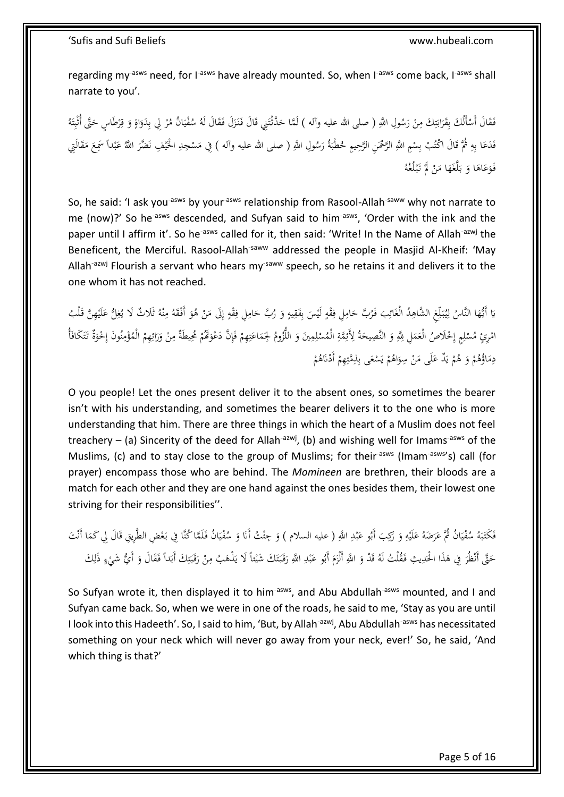regarding my<sup>-asws</sup> need, for I<sup>-asws</sup> have already mounted. So, when I<sup>-asws</sup> come back, I<sup>-asws</sup> shall narrate to you'.

فَقَالَ أَسْأَلُكَ بِقَرَابَنِكَ مِنْ رَسُولِ اللَّهِ ( صلى الله عليه وآله ) لَمَّا حَدَّثْتَنِي قَالَ فَنَزَلَ فَقَالَ لَهُ سُفْيَانُ مُرْ لِي بِدَوَاةٍ وَ قِرْطَاسٍ حَتَّى أُنْبِتَهُ َ ْ **∕** ِ ت ِبَةِ َ ِ **ٔ** ُمُ ِ<br>مُ َ َ ٔ َ .<br>أ ت ِ َ ر<br>ا ِ َ <u>ة</u> َ ر<br>ا  $\ddot{\phantom{0}}$ ي .<br>م  $\overline{a}$ فَدَعَا بِهِ ثُمَّ قَالَ اكْتُبْ بِسْمِ اللَّهِ الرَّحْمَنِ الرَّحِيمِ لحُطْبَةُ رَسُولِ اللَّهِ ( صلى الله عليه وآله ) فِي مَسْجِدِ الْحَيْفِ نَضَّرَ اللَّهُ عَبْداً سَمِعَ مَقَالَتِي ر<br>ا  $\ddot{\phantom{0}}$ ْ َ ِ با َ ْ .<br>نا ي <u>ِ</u> ِ  $\zeta$ **ٔ** ب َ ر<br>ا فَوَعَاهَا وَ بَلَّغَهَا مَنْ لَمْ تَبْلُغْهُ .<br>. ِّ ْ ْ َ َ .<br>ا َ <u>ة</u> َ َ

So, he said: 'I ask you<sup>-asws</sup> by your<sup>-asws</sup> relationship from Rasool-Allah<sup>-saww</sup> why not narrate to me (now)?' So he<sup>-asws</sup> descended, and Sufyan said to him<sup>-asws</sup>, 'Order with the ink and the paper until I affirm it'. So he<sup>-asws</sup> called for it, then said: 'Write! In the Name of Allah<sup>-azwj</sup> the Beneficent, the Merciful. Rasool-Allah<sup>-saww</sup> addressed the people in Masjid Al-Kheif: 'May Allah<sup>-azwj</sup> Flourish a servant who hears my<sup>-saww</sup> speech, so he retains it and delivers it to the one whom it has not reached.

يَا أَيُّهَا النَّاسُ لِيُبَلِّغِ الشَّاهِدُ الْغَائِبَ فَرُبَّ حَامِلِ فِقْهٍ لَيْسَ بِفَقِيهٍ وَ رُبَّ حَامِلِ فِقْهٍ إِلَى مَنْ هُوَ أَفْقَهُ مِنْهُ ثَلَاثٌ لَا يُغِلُّ عَلَيْهِنَّ قَلْبُ ِ إ  $\frac{d}{dt}$ ِ ∕. َ َ  $\overline{a}$ ِ ِ ب .<br>- $\frac{1}{2}$ ِ ∕. َ َ .<br>أ ∫ ِ  $\ddot{\phantom{0}}$ ِ ل َ ا<br>ا **ٔ** َ ِ ن ِ<br>پر َ ْ امْرِئٍ مُسْلِمٍ إِحْلَاصُ الْعَمَلِ لِلّهِ وَ النَّصِيحَةُ لِأَئِمَّةِ الْمُسْلِمِينَ وَ اللُّزُومُ لِجَمَاعَتِهِمْ فَإِنَّ دَعْوَكُمْ مُحِيطَةٌ مِنْ وَرَائِهِمْ الْمُؤْمِنُونَ إِحْوَةٌ تَتَكَافَأُ ِ .<br>أ ْ ِ ت َ  $\overline{a}$ َ َ ِ ْ <u>ہ</u> ِ َ َ ِ  $\overline{a}$ َ ِ ْ ا<br>ا ا<br>أ **ئ**ے ت َ َ .<br>م ن ِم<br>ِ ة<br>م ْ ِ<br>با َ َ .<br>-<br>-ِ<br>پر ْ ر<br>د دِمَاؤُهُمْ وَ هُمْ يَذٌ عَلَى مَنْ سِوَاهُمْ يَسْعَى بِذِمَّتِهِمْ أَدْنَاهُمْ َ  $\overline{\phantom{a}}$ َ ي <sup>(</sup> َ ْ ا<br>ا ِ <sup>t</sup> ْ ِ ِ ــ<br>أ ي ْ

O you people! Let the ones present deliver it to the absent ones, so sometimes the bearer isn't with his understanding, and sometimes the bearer delivers it to the one who is more understanding that him. There are three things in which the heart of a Muslim does not feel treachery – (a) Sincerity of the deed for Allah<sup>-azwj</sup>, (b) and wishing well for Imams<sup>-asws</sup> of the Muslims, (c) and to stay close to the group of Muslims; for their<sup>-asws</sup> (Imam<sup>-asws</sup>'s) call (for prayer) encompass those who are behind. The *Momineen* are brethren, their bloods are a match for each other and they are one hand against the ones besides them, their lowest one striving for their responsibilities''.

َ فَكَتَبَهُ سُفْيَانُ ثُمَّ عَرَضَهُ عَلَيْهِ وَ رَكِبَ أَبُو عَبْدِ اللَّهِ ( عليه السلام ) وَ حِثْتُ أَنَا وَ سُفْيَانُ فَلَمَّا كُنَّا فِي بَعْضِ الطَّرِيقِ قَالَ لِي كَمَا أَنْتَ ِ .<br>. َ َ َ .<br>: ي .<br>أ  $\ddot{\phantom{0}}$ ب َ َ **ٔ** ي .<br>م َ ئ َ ِ .<br>. ب َ َ َ :<br>. ٍ<br>م َ ْ َ فَكْتَبَهُ سُفْيَانُ ثُمَّ عَرَضَهُ عَلَيْهِ وَ رَكِبَ أَبُو عَبْدِ اللَّهِ ( عليه السلام ) وَ حِمْتُ أَنَا وَ سُفْيَانُ فَلَمَّا كُنَّا فِي بَعْضِ الطَّرِيقِ قَالَ لِي كَمَا<br>حَتَّى أَنْظُرَ فِي هَذَا الحَدِيثِ فَقْلَتُ ل .<br>: ت  $\ddot{\phantom{0}}$ َ َ ِ .<br>. ب َ َ َ َ ِ َ َ َ َ ْ َ .<br>م  $\overline{a}$ با<br>ا ِ ت  $\ddot{ }$ ب َ .<br>.<br>. ِ<br>ِم ِ <u>ء</u>

So Sufyan wrote it, then displayed it to him<sup>-asws</sup>, and Abu Abdullah<sup>-asws</sup> mounted, and I and Sufyan came back. So, when we were in one of the roads, he said to me, 'Stay as you are until I look into this Hadeeth'. So, I said to him, 'But, by Allah<sup>-azwj</sup>, Abu Abdullah<sup>-asws</sup> has necessitated something on your neck which will never go away from your neck, ever!' So, he said, 'And which thing is that?'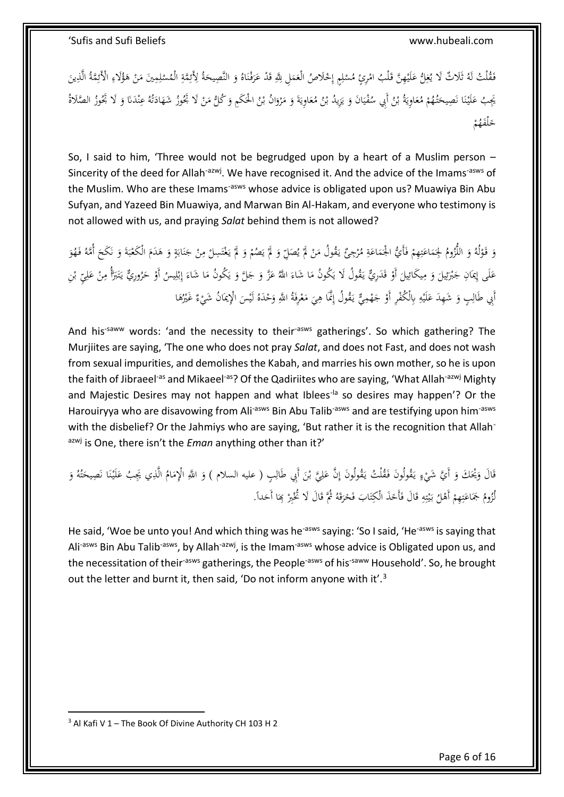فَقْلْتُ لَهُ ثَلَاثٌ لَا يُغِلُّ عَلَيْهِنَّ قَلْبُ امْرِئٍ مُسْلِمٍ إِحْلَاصُ الْعَمَلِ لِلَّهِ قَدْ عَرَفْنَاهُ وَ النَّصِيحَةُ لِأَئِقَةِ الْمُسْلِمِينَ مَنْ هَؤُلَاءِ الْأَئِقَةُ الَّذِينَ **ٔ** </sub> ِ ِ ِ<br>ئ َ َ .<br>. َ َ ِ  $\overline{a}$ َ ِ **ٔ** ابر<br>ا َ َ ِ ِ ِ **ہ** .<br>-<br>- $\overline{\phantom{a}}$ ِ **ٔ** ْ يَجِبُ عَلَيْنَا نَصِيحَتُهُمْ مُعَاوِيَةُ بْنُ أَبِي سُفْيَانَ وَ يَزِيدُ بْنُ مُعَاوِيَةَ وَ مَرْوَانُ بْنُ الْحَكَمِ وَ كُلُّ مَنْ لَا بَحُوزُ شَهَادَتْهُ عِنْدَنَا وَ لَا بَحُوزُ الصَّالاةُ ا َ .<br>.  $\overline{\phantom{a}}$ َ ِيا<br>ِ َ ب .<br>ا ي َ .<br>: ي .<br>أ ب ِيا<br>ِ َ ْ َ .<br>أ ن .<br>. َ َ َ َ ن بر<br>ت ٔ : َ .<br>-<br>- $\overline{\phantom{a}}$ ْ ځلفَهُمْ َ

So, I said to him, 'Three would not be begrudged upon by a heart of a Muslim person – Sincerity of the deed for Allah<sup>-azwj</sup>. We have recognised it. And the advice of the Imams<sup>-asws</sup> of the Muslim. Who are these Imams<sup>-asws</sup> whose advice is obligated upon us? Muawiya Bin Abu Sufyan, and Yazeed Bin Muawiya, and Marwan Bin Al-Hakam, and everyone who testimony is not allowed with us, and praying *Salat* behind them is not allowed?

ْ وَ قَوْلُهُ وَ اللُّزُومُ لِجَمَاعَتِهِمْ فَأَيُّ الجُمَاعَةِ مُرْجِئٌ يَقُولُ مَنْ لَمْ يُصَلِّ وَ لَمْ يَصُمْ وَ لَمْ يَغْتَسِلْ مِنْ جَنَابَةٍ وَ هَدَمَ الْكَعْبَةَ وَ نَكَحَ أُمَّهُ فَهُوَ ُبا<br>ا َ ْ ي <sup> $\overline{a}$ </sup> َ و<br>يه <sup> $\overline{a}$ </sup> ْ ا<br>ا .<br>أ **z** َ  $\overline{a}$ َ .<br>ئ ْ ِ ت َ  $\overline{a}$ ٔ<br>ا َ <u>ٔ</u> َ ت َ  $\zeta$ ن َ  $\ddot{\cdot}$ ب ْ َ **ہ** َ ; با<br>أ .<br>أ ن َ ِ **ٔ** .<br>أ عَلَى إِيمَانِ جَبْرَئِيلَ وَ مِيكَائِيلَ أَوْ قَدَرِيٌّ يَقُولُ لَا يَكُونُ مَا شَاءَ اللَّهُ عَزَّ وَ جَلَّ وَ يَكُونُ مَا شَاءَ إِبْلِيسُ أَوْ حَرُورِيٌّ يَتَبَرَّأُ مِنْ عَلِيِّ بْنِ ،<br>.  $\zeta$ ِ<br>ئو ِ َ  $\zeta$ ِ<br>ئو ئ<br>برا  $\ddot{\phantom{0}}$ ْ  $\overline{a}$ اٍ.<br>∙ َ َ ِ **ٔ** ب ِ إ </sub>  $\overline{\phantom{a}}$ ب<br>أ ي َ َ َ َ َ  $\overline{\phantom{a}}$ ب<br>أ با<br>ا **ٔ** ِ َ .<br>-∕. ت ب<br>ا ا .<br>-أَبِي طَالِبٍ وَ شَهِدَ عَلَيْهِ بِالْكُفْرِ أَوْ جَهْمِيٌّ يَقُولُ إِنَّمَا هِيَ مَعْرِفَةُ اللَّهِ وَحْدَهُ لَيْسَ الْإِيمَانُ شَيْءٌ غَيْرُهَا .<br>ا ْ َ ْ ا<br>ا  $\ddot{\cdot}$ ِ با<br>ا ْ َ .<br>م ِ **ٔ** </sub> َ ِ  $\overline{\phantom{0}}$ ْ َ ْ

And his<sup>-saww</sup> words: 'and the necessity to their<sup>-asws</sup> gatherings'. So which gathering? The Murjiites are saying, 'The one who does not pray *Salat*, and does not Fast, and does not wash from sexual impurities, and demolishes the Kabah, and marries his own mother, so he is upon the faith of Jibraeel<sup>-as</sup> and Mikaeel<sup>-as</sup>? Of the Qadiriites who are saying, 'What Allah<sup>-azwj</sup> Mighty and Majestic Desires may not happen and what Iblees<sup>-la</sup> so desires may happen'? Or the Harouiryya who are disavowing from Ali<sup>-asws</sup> Bin Abu Talib<sup>-asws</sup> and are testifying upon him<sup>-asws</sup> with the disbelief? Or the Jahmiys who are saying, 'But rather it is the recognition that Allahazwj is One, there isn't the *Eman* anything other than it?'

ْ قَالَ وَيُحَكَ وَ أَيَّ شَيْءٍ يَقُولُونَ فَقُلْتُ يَقُولُونَ إِنَّ عَلِيَّ بْنَ أَبِي طَالِبٍ ( عليه السلام ) وَ اللَّهِ الْإِمَامُ الَّذِي يَجِبُ عَلَيْنَا نَصِيحَتُهُ وَ َ ِّ .<br>أ َ ِ  $\overline{\phantom{a}}$ َ ِ َ ب ِ َ ِ .<br>ا لْ با ؚ<br>پ َ ت َ َ .<br>. ن **ٔ** َ لُزُومُ جَمَاعَتِهِمْ أَهْلُ بَيْتِهِ قَالَ فَأَخَذَ الْكِتَابَ فَخَرَقَهُ ثُمَّ قَالَ لَا تُخْبِرْ بِمَا أَحَداً. ٔ .<br>ا َ َ َ َ ت َ َ ن<br>ن ِ .<br>تا ت .<br>: ي .<br>ا <sup>(</sup> ِ ت ي:<br>ا  $\overline{a}$ 

He said, 'Woe be unto you! And which thing was he<sup>-asws</sup> saying: 'So I said, 'He<sup>-asws</sup> is saying that Ali<sup>-asws</sup> Bin Abu Talib<sup>-asws</sup>, by Allah<sup>-azwj</sup>, is the Imam<sup>-asws</sup> whose advice is Obligated upon us, and the necessitation of their<sup>-asws</sup> gatherings, the People<sup>-asws</sup> of his<sup>-saww</sup> Household'. So, he brought out the letter and burnt it, then said, 'Do not inform anyone with it'.<sup>3</sup>

<sup>1</sup>  $3$  Al Kafi V 1 – The Book Of Divine Authority CH 103 H 2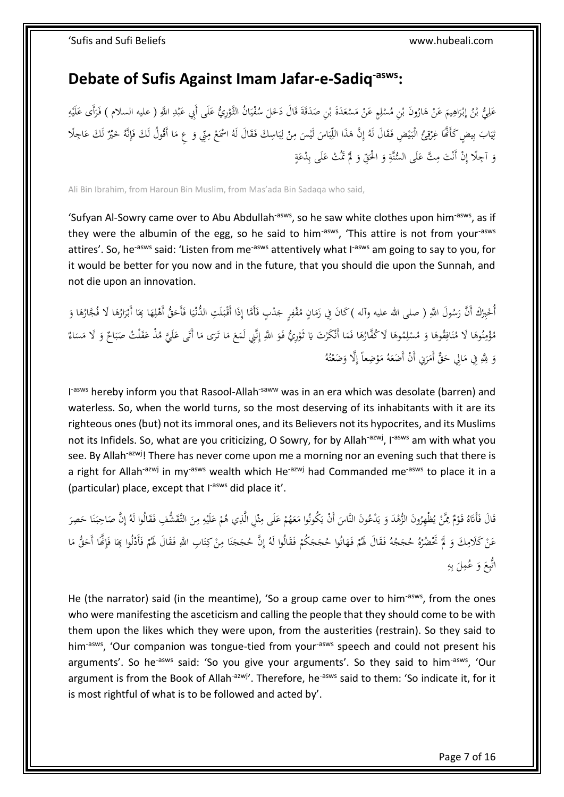# <span id="page-6-0"></span>**Debate of Sufis Against Imam Jafar-e-Sadiq-asws:**

َ عَلِيُّ بْنُ إِبْرَاهِيمَ عَنْ هَارُونَ بْنِ مُسْلِمٍ عَنْ مَسْعَدَةَ بْنِ صَدَقَةَ قَالَ دَخَلَ سُفْيَانُ الثَّوْرِيُّ عَلَى أَبِي عَبْدِ اللَّهِ ( عليه السلام ) فَرَأَى عَلَيْهِ َ ْ ْ ِ ْ ْ **ہ** ْ ا ِ َ .<br>أ ∣ٍ<br>∙ إ ب ِ **ٍ ٔ** ب َ َ <u>ٔ</u> **ٔ** ي .<br>م  $\zeta$ َ <u>:</u>  $\overline{\phantom{a}}$  $\overline{\phantom{a}}$ ْ ب ة<br>م  $\overline{\phantom{a}}$ ِ **ٔ** َ ر<br>ا ∕. نِيَابَ بِيضٍ كَأَنَّمَا غِرْقِيُّ الْبَيْضِ فَقَالَ لَهُ إِنَّ هَذَا اللِّبَاسَ لَيْسَ مِنْ لِبَاسِكَ فَقَالَ لَهُ اسْمَعْ مِنِّي وَ عِ مَا أَقُولُ لَكَ فَإِنَّهُ خَيْرٌ لَكَ عَاجِلًا <sup>،</sup> ا ِ<br>مُ  $\ddot{\cdot}$ ب ِ ل .<br>-<br>-ِ َ <u>َ</u>  $\ddot{\cdot}$ ب اٌ َ ِ إ ُمُ ي ا<br>ا ِ ر:<br>ز ِ .<br>: ي ِ َ َ لَ ِ ة<br>أ  $\ddot{a}$ وَ آجِلًا إِنْ أَنْتَ مِتَّ عَلَى السُّنَّةِ وَ الْحَقِّ وَ لَمْ تَمُتْ عَلَى بِدْعَةٍ َ ِ َ  $\overline{\phantom{a}}$ َ َ َ <u>ہ</u> َ ∫<br>′ .<br>-<br>-ِ َ

Ali Bin Ibrahim, from Haroun Bin Muslim, from Mas'ada Bin Sadaqa who said,

'Sufyan Al-Sowry came over to Abu Abdullah<sup>-asws</sup>, so he saw white clothes upon him<sup>-asws</sup>, as if they were the albumin of the egg, so he said to him<sup>-asws</sup>, 'This attire is not from your<sup>-asws</sup> attires'. So, he<sup>-asws</sup> said: 'Listen from me<sup>-asws</sup> attentively what I<sup>-asws</sup> am going to say to you, for it would be better for you now and in the future, that you should die upon the Sunnah, and not die upon an innovation.

 $\ddot{\phantom{0}}$ ي :<br>ا أُخْبِرُكَ أَنَّ رَسُولَ اللَّهِ ( صلى الله عليه وآله )كَانَ فِي زَمَانٍ مُقْفِرٍ جَدْبٍ فَأَمَّا إِذَا أَقْبَلَتِ الدُّنْيَا فَأَخَقُّ أَهْلِهَا كِمَا أَبْرَارُهَا لَا فُجَّارُهَا وَ  $\overline{a}$  $\ddot{\cdot}$ ِ .<br>ئ **م** ِ  $\overline{\phantom{a}}$ َ َ **ٔ** َ َ ِ å<br>
<sup>1</sup> َ َ َ **م** َ َ .<br>. َ مُؤْمِنُوهَا لَا مُنَافِقُوهَا وَ مُسْلِمُوهَا لَا كُفَّارُهَا فَمَا أَنْكَرْتَ يَا تُوْرِيُّ فَوَ اللَّهِ إِنَّنِي لَمَعَ مَا تَرَى مَا أَتَى عَلَيَّ مُذْ عَقَلْتُ صَبَاحٌ وَ لَا مَسَاءٌ  $\zeta$  $\ddot{\phantom{0}}$ اٍ<br>ٍّءُ إ َ <u>ٔ</u> یا<br>- $\overline{a}$ َ َ ِ ا<br>ا َ <u>ة</u> ِ .<br>. ن ٔ<br>ا ن **∕** ا<br>ا َ  $\ddot{\phantom{0}}$ َ  $\ddot{\cdot}$ ب  $\overline{\phantom{a}}$ َ َ  $\overline{\phantom{a}}$ وَ لِلَّهِ فِي مَالِي حَقٌّ أَمَرَنِي أَنْ أَضَعَهُ مَوْضِعاً إِلَّا وَضَعْتُهُ ن<br>أ ام<br>ا َ ا<br>ا ِ ت ْ <u>ٔ</u> ا<br>ا َ

I<sup>-asws</sup> hereby inform you that Rasool-Allah<sup>-saww</sup> was in an era which was desolate (barren) and waterless. So, when the world turns, so the most deserving of its inhabitants with it are its righteous ones (but) not its immoral ones, and its Believers not its hypocrites, and its Muslims not its Infidels. So, what are you criticizing, O Sowry, for by Allah<sup>-azwj</sup>, I<sup>-asws</sup> am with what you see. By Allah<sup>-azwj</sup>! There has never come upon me a morning nor an evening such that there is a right for Allah<sup>-azwj</sup> in my<sup>-asws</sup> wealth which He<sup>-azwj</sup> had Commanded me<sup>-asws</sup> to place it in a (particular) place, except that I<sup>-asws</sup> did place it'.

َ قَالَ فَأَتَاهُ قَوْمٌ مِمَّنْ يُظْهِرُونَ الزُّهْدَ وَ يَدْعُونَ النَّاسَ أَنْ يَكُونُوا مَعَهُمْ عَلَى مِثْلِ الَّذِي هُمْ عَلَيْهِ مِنَ التَّقَشُّفِ فَقَالُوا لَهُ إِنَّ صَاحِبَنَا حَصِرَ  $\overline{\phantom{a}}$ ب<br>: .<br>-ِ<br>با ي َ و<br>يو ْ ِ <u>ٔ</u> ا:<br>ا ُ<br>نا .<br>أ َ ِ ِ **ٔ** َ ْ ِ **:** ث ∕. َ ْ ر<br>ا َ .<br>أ ن  $\ddot{\cdot}$  $\ddot{\phantom{0}}$ ا إ .<br>م .<br>م عَنْ كَلامِكَ وَ لَمْ تَحْضُرْهُ حُجَجُهُ فَقَالَ لَهُمْ فَهَاتُوا حُجَجَكُمْ فَقَالُوا لَهُ إِنَّ حُجَجَنَا مِنْ كِتَابِ اللَّهِ فَقَالَ لَهُمْ فَأَدْلُوا بِمَا فَإِنَّمَا أَحَقُّ مَا ة<br>أ ت ∕. .<br>. ن َ ِ إ َ َ َ .<br>م ْ <sup> $\overline{a}$ </sup> َ **∕** ْ َ <u>:</u> .<br>ف ْ َ  $\overline{\phantom{a}}$ َ ٍ<br>أ ِ اتُّبِعَ وَ عُمِلَ بِهِ با ب  $\zeta$ َ  $\zeta$ 

He (the narrator) said (in the meantime), 'So a group came over to him<sup>-asws</sup>, from the ones who were manifesting the asceticism and calling the people that they should come to be with them upon the likes which they were upon, from the austerities (restrain). So they said to him<sup>-asws</sup>, 'Our companion was tongue-tied from your<sup>-asws</sup> speech and could not present his arguments'. So he<sup>-asws</sup> said: 'So you give your arguments'. So they said to him<sup>-asws</sup>, 'Our argument is from the Book of Allah<sup>-azwj</sup>'. Therefore, he<sup>-asws</sup> said to them: 'So indicate it, for it is most rightful of what is to be followed and acted by'.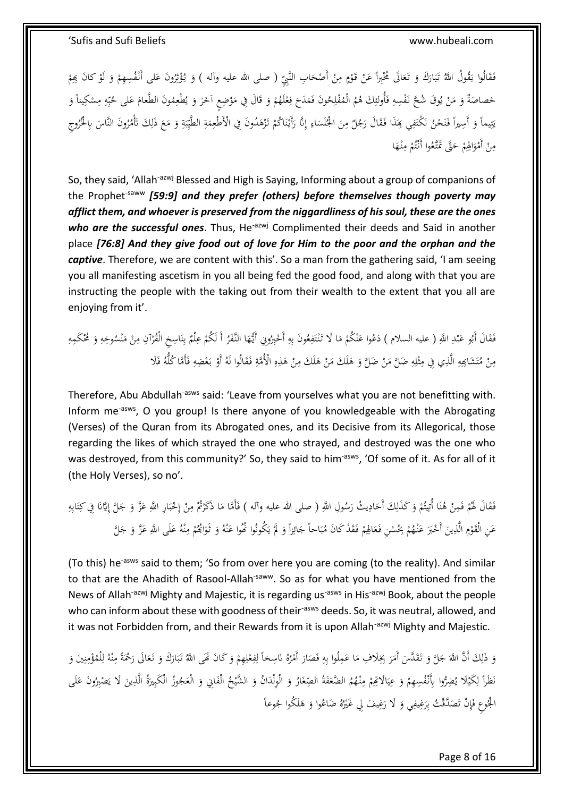فَقَالُوا يَقُولُ اللَّهُ تَبَارَكَ وَ تَعَالَى مُخْبِراً عَنْ قَوْمٍ مِنْ أَصْحَابِ النَّبِيِّ ( صلى الله عليه وآله ) وَ يُؤْثِرُونَ عَلى أَنْفُسِهِمْ وَ لَوْ كانَ بِهِمْ َ ْ **∕** ٍ <u>ٔ</u> ْ َ َ َ .<br>أ ب <u>َ</u> با ُمُ ْ <u>ٔ</u> َ ْ َ ڹ ة ق ْ ِ خَصاصَةٌ وَ مَنْ يُوقَ شُحَّ نَفْسِهِ فَأُولئِكَ هُمُ الْمُفْلِحُونَ فَمَدَحَ فِعْلَهُمْ وَ قَالَ فِي مَوْضِعِ آخَرَ وَ يُطْعِمُونَ الطَّعامَ عَلى حُبِّهِ مِسْكِيناً وَ ي َ َ َ <u>ٔ</u>  $\overline{\phantom{a}}$ َ َ ْ ْ ِ  $\zeta$  $\overline{a}$ ِ .<br>أ ِ َ ِ و<br>يا ْ ا<br>ا َ  $\overline{\phantom{a}}$ َ ْ ∕. ً ِّبَّ ب َ َ  $\overline{a}$ بماً وَ أَسِيراً فَنَحْنُ نَكْتَفِي بِمَذَا فَقَالَ رَجُلٌ مِنَ الْجُلَسَاءِ إِنَّا رَأَيْنَاكُمْ تَزْهَدُونَ فِي الْأَطْعِمَةِ الطَّيِّبَةِ وَ مَعَ ذَلِكَ تَأْمُرُونَ النَّاسَ بِالْخُرُوجِ َ .<br>ب ت نة<br>-ي َ <u>ہ</u>  $\ddot{\cdot}$ ب ِ<br>په ي ہے<br>ِ  $\overline{a}$ ِ َ ْ ْ .<br>. ن **ٔ** ِ إ ِ  $\ddot{\phantom{0}}$ َ ∕. ُمُ َ ∫<br>∫ ن<br>آ .<br>ا ن ن <u>َ</u> <u>ت</u> ِ  $\zeta$  $\ddot{\phantom{0}}$ مِنْ أَمْوَالِهِمْ حَتَّى تَمَّتَّعُوا أَنْتُمْ مِنْهَا َ ِ <sup>(</sup> ت ْ َ َ .<br>ا ْ **∕** 

So, they said, 'Allah<sup>-azwj</sup> Blessed and High is Saying, Informing about a group of companions of the Prophet<sup>-saww</sup> [59:9] and they prefer (others) before themselves though poverty may *afflict them, and whoever is preserved from the niggardliness of his soul, these are the ones who are the successful ones*. Thus, He<sup>-azwj</sup> Complimented their deeds and Said in another place *[76:8] And they give food out of love for Him to the poor and the orphan and the captive*. Therefore, we are content with this'. So a man from the gathering said, 'I am seeing you all manifesting ascetism in you all being fed the good food, and along with that you are instructing the people with the taking out from their wealth to the extent that you all are enjoying from it'.

فَقَالَ أَبُو عَبْدِ اللَّهِ ( عليه السلام ) دَعُوا عَنْكُمْ مَا لَا تَنْتَفِعُونَ بِهِ أَحْيِرُونِي أَيُّهَا النَّفَرُ أَ لَكُمْ عِلْمٌ بِنَاسِخِ الْقُرْآنِ مِنْ مَنْسُوخِهِ وَ مُحْكَمِهِ ِ .<br>. ب َ ُمُ َ ن ِ ب ْ َ .<br>م ِ ِ ِ ن<br>أما ت .<br>. ن<br>ا ا<br>ا <sup>t</sup> ن َ ِ َ ِ ن  $\overline{\phantom{a}}$ <u>:</u> ∕ ر<br>أ مِنْ مُتَشَاكِهِ الَّذِي فِي مِثْلِهِ ضَلَّ مَنْ ضَلَّ وَ هَلَكَ مَنْ هَلَكَ مِنْ هَذِهِ الْأُمَّةِ فَقَالُوا لَهُ أَوْ بَعْضِهِ فَأَمَّا كُلُّهُ فَلَا .<br>م ِ ِ ِ َ .<br>-<br>-ِ  $\overline{a}$ َ ْ ا<br>ا  $\overline{a}$ **ہ** َ ام<br>ا ِ J **:** ث ِ ِ ِ ت ْ **∕** ْ .<br>ا <u>ٔ</u> َ ⊿<br>ٍ

Therefore, Abu Abdullah<sup>-asws</sup> said: 'Leave from yourselves what you are not benefitting with. Inform me-asws, O you group! Is there anyone of you knowledgeable with the Abrogating (Verses) of the Quran from its Abrogated ones, and its Decisive from its Allegorical, those regarding the likes of which strayed the one who strayed, and destroyed was the one who was destroyed, from this community?' So, they said to him<sup>-asws</sup>, 'Of some of it. As for all of it (the Holy Verses), so no'.

ِ فَقَالَ لَهُمْ فَمِنْ هُنَا أُتِيتُمْ وَكَذَلِكَ أَحَادِيثُ رَسُولِ اللَّهِ ( صلى الله عليه وآله ) فَأَمَّا مَا ذَكَرْتُمْ مِنْ إِحْبَارِ اللَّهِ عَزَّ وَ جَلَّ إِيَّانَا فِي كِتَابِهِ .<br>.  $\overline{\phantom{a}}$ َ َ ي **∶** َ ِ َ <sup>(</sup> ِ .<br>. ن ْ ْ َ ِ ة<br>أ ت .<br>نا ا َ َ  $\ddot{\cdot}$ ب **ٔ** إ .<br>. عَنِ الْقَوْمِ الَّذِينَ أَخْبَرَ عَنْهُمْ بِحُسْنِ فَعَالِهِمْ فَقَدْ كَانَ مُبَاحاً جَائِزاً وَ لَمْ يَكُونُوا نُحُوا عَنْهُ وَ تَوَابُحُمْ مِنْهُ عَلَى اللَّهِ عَزَّ وَ جَلَّ ا<br>ا <sup>t</sup> َ َ ِ ِ ْ َ ن ِ<br>م <sup>t</sup> َ َ ن َ ب<br>: ي <sup> $\overline{a}$ </sup> َ ِ<br>ئۆ َ  $\ddot{\cdot}$ ب <sup>t</sup> َ َ َ َ

(To this) he<sup>-asws</sup> said to them; 'So from over here you are coming (to the reality). And similar to that are the Ahadith of Rasool-Allah<sup>-saww</sup>. So as for what you have mentioned from the News of Allah<sup>-azwj</sup> Mighty and Majestic, it is regarding us<sup>-asws</sup> in His<sup>-azwj</sup> Book, about the people who can inform about these with goodness of their-asws deeds. So, it was neutral, allowed, and it was not Forbidden from, and their Rewards from it is upon Allah<sup>-azwj</sup> Mighty and Majestic.

وَ ذَلِكَ أَنَّ اللَّهَ جَلَّ وَ تَقَدَّسَ أَمَرَ بِخِلَافِ مَا عَمِلُوا بِهِ فَصَارَ أَمْرُهُ نَاسِخاً لِفِعْلِهِمْ وَ كَانَ نَهَى اللَّهُ تَبَارَكَ وَ تَعَالَى رَحْمَةً مِنْهُ لِلْمُؤْمِنِينَ وَ َ ْ ِ ْ ِ ِ ْ ر<br>ا  $\overline{\phantom{a}}$ ِ ِ ا<br>ا َ ا<br>ا .<br>-.<br>أ َ َ J َ َ َ  $\ddot{\cdot}$ ب َ َ ِ ن ِ ْ ِ<br>ل ل ن ∕ ُل<br>ا َظَراً لِكَيْلا يُضِرُّوا بِأَنْفُسِهِمْ وَ عِيَالَاتِهِمْ مِنْهُمُ الضَّعَفَةُ الصِّغَارُ وَ الْوِلْدَانُ وَ الشَّيْخُ الْفَايِي وَ الْعَجُوزُ الْكَبِيرَةُ الَّذِينَ لَا يَصْبِرُونَ عَلَى َ ا .<br>ا َ .<br>. ں<br>ب َ ِ <sup>t</sup> .<br>: ي َ <sup>t</sup> **ٔ** ؚ<br>ر ل  $\overline{a}$ ن َ  $\ddot{\phantom{0}}$ ِ <u>َ</u> َ ِ<br>بہ الْجُوعِ فَإِنْ تَصَدَّقْتُ بِرَغِيفِي وَ لَا رَغِيفَ لِي غَيْرُهُ ضَاعُوا وَ هَلَكُوا جُوعاً ِ<br>ن  $\ddot{\phantom{0}}$ ِ ِّي<br>أ َ َ ْ ي َ َ ِ َ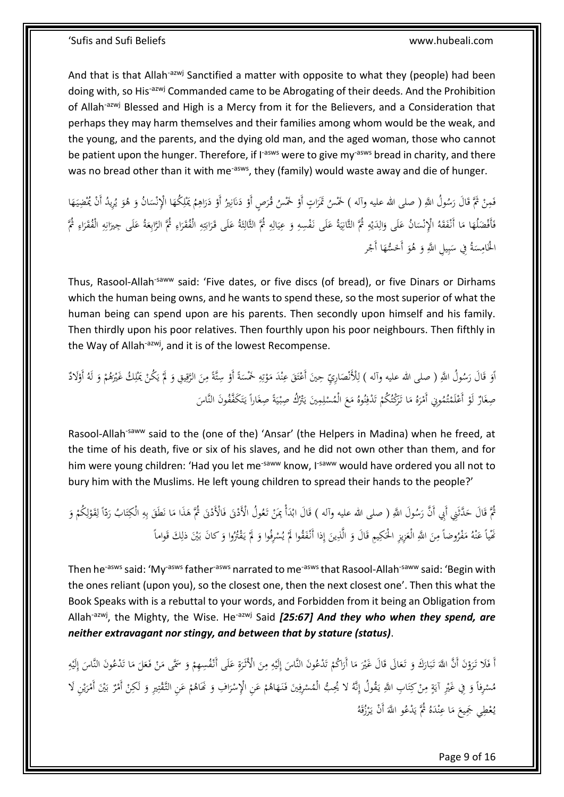And that is that Allah<sup>-azwj</sup> Sanctified a matter with opposite to what they (people) had been doing with, so His<sup>-azwj</sup> Commanded came to be Abrogating of their deeds. And the Prohibition of Allah<sup>-azwj</sup> Blessed and High is a Mercy from it for the Believers, and a Consideration that perhaps they may harm themselves and their families among whom would be the weak, and the young, and the parents, and the dying old man, and the aged woman, those who cannot be patient upon the hunger. Therefore, if I<sup>-asws</sup> were to give my<sup>-asws</sup> bread in charity, and there was no bread other than it with me<sup>-asws</sup>, they (family) would waste away and die of hunger.

فَمِنْ ثُمَّ قَالَ رَسُولُ اللَّهِ ( صلى الله عليه وآله ) خَمْسُ تَمَرَاتٍ أَوْ خَمْسُ قُرَصٍ أَوْ دَنَانِيرُ أَوْ دَرَاهِمُ يَمْلِكُهَا الْإِنْسَانُ وَ هُوَ يُرِيدُ أَنْ يُمْضِيَهَا َ َ ْ َ ِ ِ َ ٔ<br>ا <u>ٔ</u> ِ :<br>بر <u>َ</u>ّ <u>ٔ</u> َ <u>ٔ</u> ا َ َ ֖֚֚֚֬  $\ddot{\phantom{0}}$ ْ َ  $\ddot{\phantom{0}}$ ن فَأَفْضَلُهَا مَا أَنْفَقَهُ الْإِنْسَانُ عَلَى وَالِدَيْهِ ثُمَّ الثَّانِيَةُ عَلَى نَفْسِهِ وَ عِيَالِهِ ثُمَّ الثَّانِثَةُ عَلَى قَرَابَتِهِ الْفُقَرَاءِ ثُمَّ الرَّابِعَةُ عَلَى جِيرَانِهِ الْفُقَرَاءِ ثُمَّ الثَّانِيَ ش<br>أ ث :<br>! ⊿<br>ٍ ِ  $\ddot{\phantom{0}}$ ي َ ِ َ .<br>. ي ِ: ِ ْ ي  $\overline{\phantom{a}}$ ِ َ َ  $\overline{\phantom{a}}$ ن ا<br>ا َ ْ َ َ َ ِ ر<br>ا ِ ِ َ َ َ ِ ِ َ ِ ٍ<br>بر ت ؘ َ الْحَامِسَةُ فِي سَبِيلِ اللَّهِ وَ هُوَ أَخَسُّهَا أَجْر ْ َ ر<br>ا َ ِّ ب  $\ddot{\phantom{0}}$  $\overline{a}$ **∕** ِ

Thus, Rasool-Allah<sup>-saww</sup> said: 'Five dates, or five discs (of bread), or five Dinars or Dirhams which the human being owns, and he wants to spend these, so the most superior of what the human being can spend upon are his parents. Then secondly upon himself and his family. Then thirdly upon his poor relatives. Then fourthly upon his poor neighbours. Then fifthly in the Way of Allah-azwj, and it is of the lowest Recompense.

َ اَوَ قَالَ رَسُولُ اللَّهِ ( صلى الله عليه وآله ) لِلْأَنْصَارِيِّ حِينَ أَعْتَقَ عِنْدَ مَوْتِهِ خَمْسَةً أَوْ سِتَّةً مِنَ الرَّقِيقِ وَ لَمَّ يَكُنْ يَمْلِكُ غَيْرَهُمْ وَ لَهُ أَوْلادٌ ا َ ∕. ٍ  $\overline{a}$ ِ ِ<br>نا ت <u>ٔ</u>  $\overline{\phantom{a}}$ ن َ ت ا<br>ا  $\overline{\phantom{a}}$ ِ َ ن<br>ن ِ<br>ق ْ َ ْ <u>ٔ</u> ْ ِ <u>:</u> ب<br>: ي **أ** َ َ صِغَازٌ لَوْ أَعْلَمْتُمُونِي أَمْرَهُ مَا تَرَكْتُكُمْ تَدْفِنُوهُ مَعَ الْمُسْلِمِينَ يَتْرُكُ صِبْيَةً صِغَاراً يَتَكَفَّقُونَ النَّاسَ ا<br>أ <u>ٔ</u> َ <u>َ</u> .<br>أ ت ُٺِ<br>ا  $\overline{a}$ .<br>. ٍ  $\ddot{\phantom{0}}$ ي ْ ِ ْ  $\zeta$ ا<br>. ن ِ ت ْ َ َ .<br>ا ت **م** 

Rasool-Allah<sup>-saww</sup> said to the (one of the) 'Ansar' (the Helpers in Madina) when he freed, at the time of his death, five or six of his slaves, and he did not own other than them, and for him were young children: 'Had you let me<sup>-saww</sup> know, I<sup>-saww</sup> would have ordered you all not to bury him with the Muslims. He left young children to spread their hands to the people?'

نْمَ قَالَ حَدَّثَنِي أَبِي أَنَّ رَسُولَ اللَّهِ ( صلى الله عليه وآله ) قَالَ ابْدَأْ بِمَنْ تَعُولُ الْأَذْنَى فَالْأَدْنَى ثُمَّ هَذَا مَا نَطَقَ بِهِ الْكِتَابُ رَدَّاً لِقَوْلِكُمْ وَ َ  $\overline{\phantom{a}}$ َ :<br>-.<br>ئ :<br>-.<br>. ِ .<br>ا .<br>. َ َ َ ْ ِ ل ْ ِ ل  $\overline{a}$ اً َ .<br>أ ت ِ ِ<br>با ب  $\overline{a}$ .<br>. مَّيْاً عَنْهُ مَفْرُوضاً مِنَ اللَّهِ الْعَزِيزِ الْحَكِيمِ قَالَ وَ الَّذِينَ إِذا أَنْفَقُوا لَمْ يُسْرِفُوا وَ لَمْ يَقْتُرُوا وَ كانَ بَيْنَ ذلِكَ قَواماً ِ إ َ ِ َ َ َ َ **∕** ا<br>ا ن َ َ َ **أ** َ ْ ي  $\overline{a}$ ِ ب

Then he<sup>-asws</sup> said: 'My<sup>-asws</sup> father<sup>-asws</sup> narrated to me<sup>-asws</sup> that Rasool-Allah<sup>-saww</sup> said: 'Begin with the ones reliant (upon you), so the closest one, then the next closest one'. Then this what the Book Speaks with is a rebuttal to your words, and Forbidden from it being an Obligation from Allah<sup>-azwj</sup>, the Mighty, the Wise. He<sup>-azwj</sup> Said *[25:67] And they who when they spend, are neither extravagant nor stingy, and between that by stature (status)*.

أَ فَلَا تَرَوْنَ أَنَّ اللَّهَ تَبَارَكَ وَ تَعَالَى قَالَ غَيْرَ مَا أَرَاكُمْ تَدْعُونَ النَّاسَ إِلَيْهِ مِنَ الْأَثَرَةِ عَلَى أَنْفُسِهِمْ وَ سَمَّى مَنْ فَعَلَ مَا تَدْعُونَ النَّاسَ إِلَيْهِ َ َ ِ ِ **ٔ** ِ إ <u>َ</u> ت <sup>أ</sup> ا َ ا<br>ا  $\overline{\phantom{a}}$ ْ ق<br>ف َ َ َ  $\ddot{\cdot}$ ب َ  $\ddot{\phantom{0}}$ <u>ٔ</u> َ َ <sup> $\mathfrak{c}$ </sup> ِ **ٔ** اُ إ <u>َ</u>  $\overline{\phantom{a}}$  $\overline{\phantom{0}}$ ْ ا<br>ا َ َ مُسْرِفاً وَ فِي غَيْرِ آيَةٍ مِنْ كِتَابِ اللَّهِ يَقُولُ إِنَّهُ لا يُحِبُّ الْمُسْرِفِينَ فَنَهَاهُمْ عَنِ الْإِسْرَافِ وَ نَحَاهُمْ عَنِ التَّقْتِيرِ وَ لَكِنْ أَمْرٌ بَيْنَ أَمْرَيْنِ لَا ا َ **ٔ** َ ْ َ َ ِ ا<br>ا ِ .<br>ا .<br>أ ت **∕** ; با<br>: ِ ْ َ ا<br>ا <u>ا</u> ي ر<br>ا ْ ب ْ .<br>. َ ِ<br>بر ت .<br>أ َ ْ يُعْطِي جَمِيعَ مَا عِنْدَهُ ثُمَّ يَدْعُو اللَّهَ أَنْ يَرْزُقَهُ .<br>. .<br>ب  $\ddot{\phantom{0}}$ ِ<br>با  $\overline{\phantom{a}}$ ن ا<br>ا  $\zeta$ 

Page 9 of 16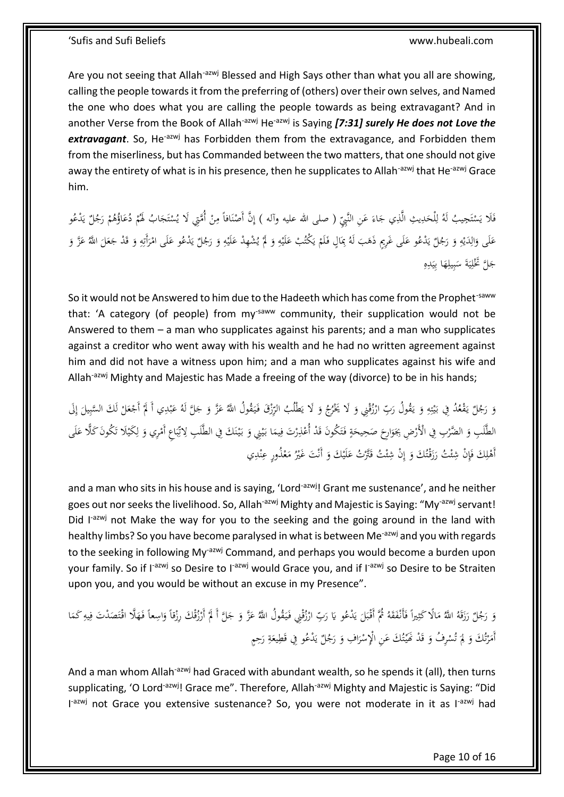Are you not seeing that Allah<sup>-azwj</sup> Blessed and High Says other than what you all are showing, calling the people towards it from the preferring of (others) over their own selves, and Named the one who does what you are calling the people towards as being extravagant? And in another Verse from the Book of Allah<sup>-azwj</sup> He<sup>-azwj</sup> is Saying *[7:31] surely He does not Love the* extravagant. So, He<sup>-azwj</sup> has Forbidden them from the extravagance, and Forbidden them from the miserliness, but has Commanded between the two matters, that one should not give away the entirety of what is in his presence, then he supplicates to Allah<sup>-azwj</sup> that He<sup>-azwj</sup> Grace him.

فَلَا يَسْتَجِيبُ لَهُ لِلْحَدِيثِ الَّذِي جَاءَ عَنِ النَّبِيِّ ( صلى الله عليه وآله ) إِنَّ أَصْنَافاً مِنْ أُمَّتِي لَا يُسْتَجَابُ لَهُمْ دُعَاؤُهُمْ رَجُلٌ يَدْعُو<br>. َ َ َ ِ ي ِ َ Į ل ت ا<br>ا َ ت **ٔ** <u>:</u> ِ .<br>. ن ْ ِ ِيا<br>ـ ي ْ َ ْ ُ<br>ا عَلَى وَالِدَيْهِ وَ رَجُلٌ يَدْعُو عَلَى غَرِيمٍ ذَهَبَ لَهُ بِمَالٍ فَلَمْ يَكْتُبْ عَلَيْهِ وَ لَمْ يُشْهِدْ عَلَيْهِ وَ رَجُلٌ يَدْعُو عَلَى امْرَأَتِهِ وَ قَدْ جَعَلَ اللَّهُ عَزَّ وَ َ ِ **ٔ** َ ي **أ** َ ِ **ٔ** َ َ ي <sup>(</sup> َ  $\overline{a}$  $\frac{1}{2}$ َ </sub><br>د ِيا<br>ِ ي َ ِ ْ ي **ـ** ِ ِ،<br>ر َ ِيا<br>ـ ي َ َ ٍ<sup>ّ</sup> َ َ ِ ِ َ ْ ِ جَلَّ تَخْلِيَةَ سَبِيلِهَا بِيَدِهِ<br>-ِ .<br>: ي ِّ َ ِ ِّ ب  $\ddot{\phantom{0}}$ ب<br>: ي ا

So it would not be Answered to him due to the Hadeeth which has come from the Prophet<sup>-saww</sup> that: 'A category (of people) from my<sup>-saww</sup> community, their supplication would not be Answered to them – a man who supplicates against his parents; and a man who supplicates against a creditor who went away with his wealth and he had no written agreement against him and did not have a witness upon him; and a man who supplicates against his wife and Allah<sup>-azwj</sup> Mighty and Majestic has Made a freeing of the way (divorce) to be in his hands;

وَ رَجُلٌ يَقْعُدُ فِي بَيْتِهِ وَ يَقُولُ رَبِّ ارْزُقْنِي وَ لَا يَحْرُجُ وَ لَا يَطْلُبُ الرِّزْقَ فَيَقُولُ اللّهُ عَزَّ وَ جَلَّ لَهُ عَبْدِي أَ لَمْ أَجْعَلْ لَكَ السَّبِيلَ إِلَى َ  $\ddot{\phantom{0}}$ َ با َ َ ِ<br>أ .<br>.<br>. َ َ ِ ِ ت .<br>: ي ِ<br>: َ َ َ ِ ْ ب َ اٍ َ ِ لَ **ـ ٔ أ** الطَّلَبِ وَ الضَّرْبِ فِي الْأَرْضِ بِجَوَارِحَ صَحِيحَةٍ فَتَكُونَ قَدْ أُعْذِرْتَ فِيمَا بَيْنِي وَ بَيْنَكَ فِي الطَّلَبِ لِاتِّبَاعِ أَمْرِي وَ لِكَيْلَا تَكُونَ كَلَّا عَلَى  $\frac{1}{2}$ ن **ٔ** بہ<br>: َ **ٔ** ي بہ<br>ا ِ ِ َ ت َ *<u>2</u>* َ  $\ddot{\phantom{0}}$ َ َ .<br>.<br>. .<br>ا َ  $\overline{a}$ **∶** ِ ل َ ْ  $\ddot{\cdot}$ ب ِ<br>نا ت ِ إ َ أَهْلِكَ فَإِنْ شِئْتُ رَزَقْتُكَ وَ إِنْ شِئْتُ قَتَّرْتُ عَلَيْكَ وَ أَنْتَ غَيْرُ مَعْذُورٍ عِنْدِي َ َ ئ ِ نيا<br>ت ِ ِ ن ْ ا<br>ا ْ .<br>با َ َ ئ

and a man who sits in his house and is saying, 'Lord<sup>-azwj</sup>! Grant me sustenance', and he neither goes out nor seeks the livelihood. So, Allah<sup>-azwj</sup> Mighty and Majestic is Saying: "My<sup>-azwj</sup> servant! Did I<sup>-azwj</sup> not Make the way for you to the seeking and the going around in the land with healthy limbs? So you have become paralysed in what is between Me<sup>-azwj</sup> and you with regards to the seeking in following My<sup>-azwj</sup> Command, and perhaps you would become a burden upon your family. So if I<sup>-azwj</sup> so Desire to I<sup>-azwj</sup> would Grace you, and if I<sup>-azwj</sup> so Desire to be Straiten upon you, and you would be without an excuse in my Presence".

وَ رَجُلٌ رَزَقَهُ اللَّهُ مَالًا كَثِيراً فَأَنْفَقَهُ ثُمَّ أَقْبَلَ يَدْعُو يَا رَبِّ ارْزُقْنِي فَيَقُولُ اللَّهُ عَزَّ وَ جَلَّ أَ لَمْ أَرْزُقْكَ رِزْقاً وَاسِعاً فَهَلَّا اقْتَصَدْتَ فِيهِ كَمَا ِ<br>با ي  $\zeta$ .<br>: َ  $\overline{a}$ ڹ ا<br>ا َ َ َ  $\overline{a}$ **م** َ َ  $\ddot{\phantom{0}}$ َ <u>ٔ</u> ر<br>ا با<br>- $\overline{a}$ ِ ِ َ َ ْ .<br>.<br>. أَمَرْتُكَ وَ لِمَ تُسْرِفُ وَ قَدْ نُمَيّتُكَ عَنِ الْإِسْرَافِ وَ رَجُلٌ يَدْعُو فِي قَطِيعَةِ رَحِمٍ ِ َ ِ<br>با ي َ ا َ **ٔ** َ ت .<br>: َ ا<br>ا ت  $\overline{\phantom{a}}$  $\overline{1}$ َ بية<br>ت .<br>ا َ

And a man whom Allah<sup>-azwj</sup> had Graced with abundant wealth, so he spends it (all), then turns supplicating, 'O Lord<sup>-azwj</sup>! Grace me". Therefore, Allah<sup>-azwj</sup> Mighty and Majestic is Saying: "Did I<sup>-azwj</sup> not Grace you extensive sustenance? So, you were not moderate in it as I<sup>-azwj</sup> had

Page 10 of 16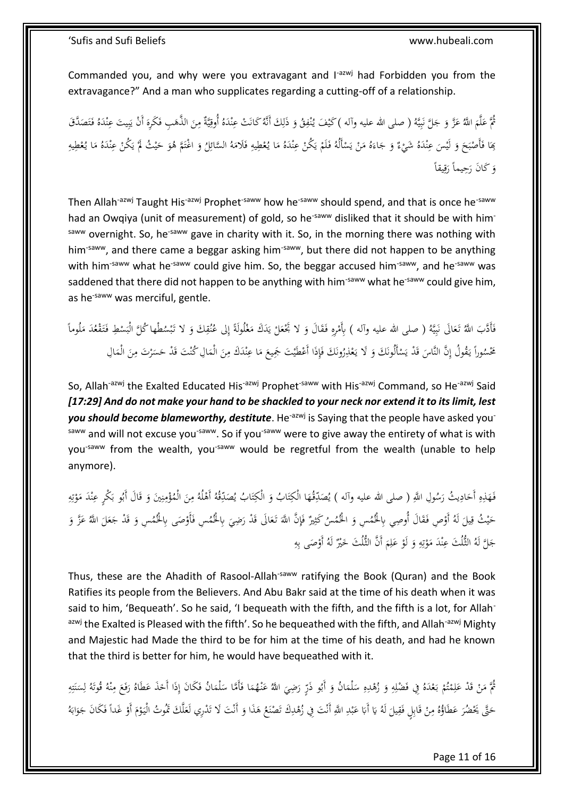Commanded you, and why were you extravagant and I<sup>-azwj</sup> had Forbidden you from the extravagance?" And a man who supplicates regarding a cutting-off of a relationship.

ِ ُمَّ عَلَّمَ اللَّهُ عَزَّ وَ جَلَّ نَبِيَّهُ ( صلى الله عليه وآله )كَيْفَ يُنْفِقُ وَ ذَلِكَ أَنَّهُ كَانَتْ عِنْدَهُ أُوقِيَّةٌ مِنَ الذَّهَبِ فَكَرِهَ أَنْ يَبِيتَ عِنْدَهُ فَتَصَدَّقَ َ ٍ<br>مُ ن ي į ب ن<br>: َ َ ا </sub> ِ ٔ<br>ا ن  $\ddot{\phantom{0}}$ ت َ ا<br>ا ن ي ِ ب یا<br>: َ ٔ<br>ا :<br>ا ِ ي ْ بِمَا فَأَصْبَحَ وَ لَيْسَ عِنْدَهُ شَيْءٌ وَ جَاءَهُ مَنْ يَسْأَلُهُ فَلَمْ يَكُنْ عِنْدَهُ مَا يُعْطِيهِ فَلامَهُ السَّائِلُ وَ اغْتَمَّ هُوَ حَيْثُ لَمْ يَكُنْ عِنْدَهُ مَا يُعْطِيهِ ــ<br>-ن َ َ  $\zeta$ ب **ٔ** ِّفِ<br>أ َ َ َ ا َ ِ<br>با َ ِم<br>ٍ .<br>ا ن .<br>.<br>. ب<br>أ ي ْ َ ْ ي ْ ا<br>ا َ َ َ **أ** ي ِم<br>ٍ  $\overline{\phantom{a}}$ ا<br>ا ن .<br>-<br>-ب<br>: ي  $\overline{a}$ وَ كَانَ رَحِيماً رَقِيقاً ِ<br>في <u>ل</u> َ

Then Allah<sup>-azwj</sup> Taught His<sup>-azwj</sup> Prophet<sup>-saww</sup> how he<sup>-saww</sup> should spend, and that is once he<sup>-saww</sup> had an Owqiya (unit of measurement) of gold, so he<sup>-saww</sup> disliked that it should be with himsaww overnight. So, he<sup>-saww</sup> gave in charity with it. So, in the morning there was nothing with him<sup>-saww</sup>, and there came a beggar asking him<sup>-saww</sup>, but there did not happen to be anything with him<sup>-saww</sup> what he<sup>-saww</sup> could give him. So, the beggar accused him<sup>-saww</sup>, and he<sup>-saww</sup> was saddened that there did not happen to be anything with him<sup>-saww</sup> what he<sup>-saww</sup> could give him, as he<sup>-saww</sup> was merciful, gentle.

فَأَدَّبَ اللَّهُ تَعَالَى نَبِيَّهُ ( صلى الله عليه وآله ) بِأَمْرِهِ فَقَالَ وَ لا تَجْعَلْ يَدَكَ مَغْلُولَةً إِلى عُنُقِكَ وَ لا تَبْسُطْها كُلَّ الْبَسْطِ فَتَقْعُدَ مَلُوماً إ  $\ddot{\phantom{0}}$ .<br>. ام<br>ا ُپا<br>ـ ي **ٔ** َ ِ<br>مُ ابر<br>ا ي ֦֧֦֦֧֦֧֦֧֦֧֦֧֦֧ׅ֧֦֧֝֝֜֓֓֜<del>֓</del> ب ن<br>أ َ َ  $\overline{a}$  $\overline{\phantom{a}}$ **ئ**ر ٍ<br>ف ْ ب َ َ ِ ن تَحْسُوراً يَقُولُ إِنَّ النَّاسَ قَدْ يَسْأَلُونَكَ وَ لَا يَعْذِرُونَكَ فَإِذَا أَعْطَيْتَ جَمِيعَ مَا عِنْدَكَ مِنَ الْمَالِ كُنْتَ قَدْ حَسَرْتَ مِنَ الْمَالِ  $\overline{a}$ َ ِ ن  $\overline{\phantom{a}}$  $\zeta$ ِ ِّي<br>أ **′** ْ .<br>أ َ ْ .<br>-ِ با<br>ا  $\overline{a}$  $\overline{a}$ َ ∕'  $\ddot{\phantom{0}}$  $\ddot{\cdot}$ ن

So, Allah<sup>-azwj</sup> the Exalted Educated His<sup>-azwj</sup> Prophet<sup>-saww</sup> with His<sup>-azwj</sup> Command, so He<sup>-azwj</sup> Said *[17:29] And do not make your hand to be shackled to your neck nor extend it to its limit, lest*  you should become blameworthy, destitute. He<sup>-azwj</sup> is Saying that the people have asked you<sup>-</sup> saww and will not excuse you<sup>-saww</sup>. So if you<sup>-saww</sup> were to give away the entirety of what is with you<sup>-saww</sup> from the wealth, you<sup>-saww</sup> would be regretful from the wealth (unable to help anymore).

فَهَذِهِ أَحَادِيثُ رَسُولِ اللَّهِ ( صلى الله عليه وآله ) يُصَدِّقُهَا الْكِتَابُ وَ الْكِتَابُ يُصَدِّقُهُ أَهْلُهُ مِنَ الْمُؤْمِنِينَ وَ قَالَ أَبُو بَكْرٍ عِنْدَ مَوْتِهِ َ ي ∫, َ ِ ِ َ ن ِم∕ ة<br>م َ ∕. å<br>. ِ  $\overline{\phantom{a}}$ .<br>أ ت َ .<br>أ ت َ ِ  $\overline{\phantom{a}}$ ِ ِ ت ْ  $\overline{\phantom{a}}$ ن َ َ َ حَيْثُ قِيلَ لَهُ أَوْصِ فَقَالَ أُوصِي بِالْحُمُسِ وَ الْحُمُسُ كَثِيرٌ فَإِنَّ اللَّهَ تَعَالَى قَدْ رَضِيَ بِالْحُمُسِ فَأَوْصَى بِالْحُمُسِ وَ قَدْ جَعَلَ اللَّهُ عَزَّ وَ .<br>ئ  $\ddot{\phantom{0}}$ َ َ ِ ٍ<br>أ ڹ َ َ ِّ  $\zeta$ ِ<br>ق ي َ َ َ َ **م** َ ِ جَلَّ لَهُ الثُّلُثَ عِنْدَ مَوْتِهِ وَ لَوْ عَلِمَ أَنَّ الثُّلُثَ حَيْرٌ لَهُ أَوْصَى بِهِ ِ ا ِ َ ،<br>. َ ِ ِ ت <u>ٔ</u> ام<br>ا ن

Thus, these are the Ahadith of Rasool-Allah<sup>-saww</sup> ratifying the Book (Quran) and the Book Ratifies its people from the Believers. And Abu Bakr said at the time of his death when it was said to him, 'Bequeath'. So he said, 'I bequeath with the fifth, and the fifth is a lot, for Allahazwj the Exalted is Pleased with the fifth'. So he bequeathed with the fifth, and Allah<sup>-azwj</sup> Mighty and Majestic had Made the third to be for him at the time of his death, and had he known that the third is better for him, he would have bequeathed with it.

ٍ<br>م مُّ مَنْ قَدْ عَلِمْتُمْ بَعْدَهُ فِي فَضْلِهِ وَ زُهْدِهِ سَلْمَانُ وَ أَبُو ذَرِّ رَضِيَ اللَّهُ عَنْهُمَا فَأَمَّا سَلْمَانُ فَكَانَ إِذَا أَخَذَ عَطَاهُ رَفَعَ مِنْهُ قُوتَهُ لِسَنَتِهِ  $\ddot{\phantom{0}}$ .<br>ف  $\overline{a}$ َ  $\ddot{\phantom{0}}$ ر<br>ا َ  $\overline{a}$  $\ddot{\phantom{0}}$ ِ ِ َ ِ J  $\overline{\phantom{a}}$ ْ ٔ, ت **م** ِ ر<br>ا ْ ا<br>ا ِ ٍ<br>ب ت ï ن  $\ddot{\phantom{0}}$ ٍ<br>ل ل ن ∕  $\zeta$ َ َ ِ َ حَتَّى يَحْضُرَ عَطَاؤُهُ مِنْ قَابِلٍ فَقِيلَ لَهُ يَا أَبَا عَبْدِ اللَّهِ أَنْتَ فِي زُهْدِكَ تَصْنَعُ هَذَا وَ أَنْتَ لَا تَدْرِي لَعَلَّكَ تَمُوتُ الْيَوْمَ أَوْ غَداً فَكَانَ جَوَابَهُ با<br>أ با<br>- $\zeta$ ِ ِ .<br>أ ْ ِ َ َ .<br>. َ َ ِ .<br>با ِ **ٔ** ب با<br>. َ .<br>.  $\overline{a}$ ْ َ ْ  $\ddot{\phantom{0}}$ َ

Page 11 of 16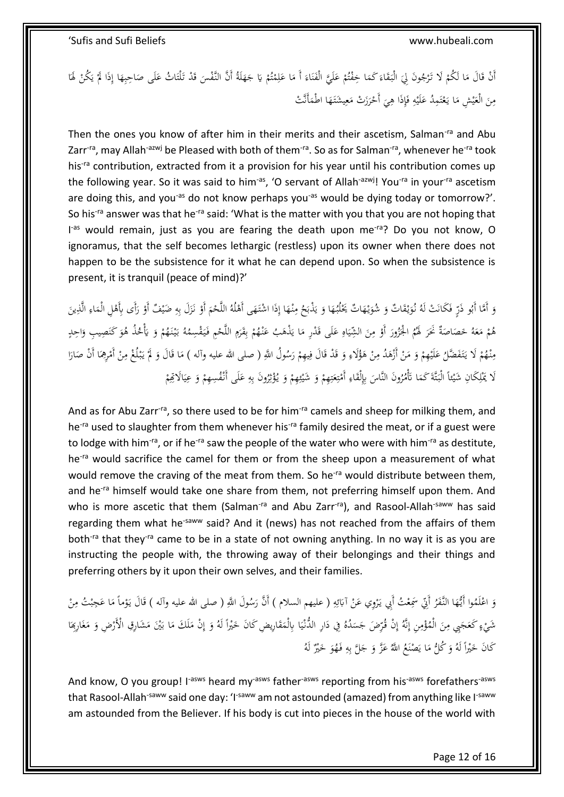أَنْ قَالَ مَا لَكُمْ لَا تَرْجُونَ لِيَ الْبَقَاءَ كَمَا خِفْتُمْ عَلَيَّ الْفَنَاءَ أَ مَا عَلِمْتُمْ يَا جَهَلَةُ أَنَّ النَّفْسَ قَدْ تَلْتَاثُ عَلَى صَاحِبِهَا إِذَا لَمْ يَكُنْ لَهَا َ َ <sup>t</sup> ت ا<br>أ ِ َ ام<br>ا </sub> َ ن .<br>م َ <sup>(</sup> ت .<br>م  $\overline{a}$ َ َ  $\ddot{\phantom{0}}$  $\zeta$ ام<br>ا .<br>نم .<br>م <u>َ</u> ا .<br>-ب<br>أ ي  $\overline{a}$ ِ َ ِ  $\frac{1}{2}$ َ .<br>ت َ مِنَ الْعَيْشِ مَا يَعْتَمِدُ عَلَيْهِ فَإِذَا هِيَ أَحْرَزَتْ مَعِيشَتَهَا اطْمَأَنَّتْ  $\overline{a}$ َ ي ِ ا<br>ا َ ْ  $\ddot{\cdot}$ ₽, ِ ا<br>أ ِ **:** َ ت ْ .<br>أ ا<br>ا **:** ي َ َ ِ

Then the ones you know of after him in their merits and their ascetism, Salman<sup>-ra</sup> and Abu Zarr<sup>-ra</sup>, may Allah<sup>-azwj</sup> be Pleased with both of them<sup>-ra</sup>. So as for Salman<sup>-ra</sup>, whenever he<sup>-ra</sup> took his<sup>-ra</sup> contribution, extracted from it a provision for his year until his contribution comes up the following year. So it was said to him<sup>-as</sup>, 'O servant of Allah<sup>-azwj</sup>! You<sup>-ra</sup> in your<sup>-ra</sup> ascetism are doing this, and you<sup>-as</sup> do not know perhaps you<sup>-as</sup> would be dying today or tomorrow?'. So his<sup>-ra</sup> answer was that he<sup>-ra</sup> said: 'What is the matter with you that you are not hoping that I<sup>-as</sup> would remain, just as you are fearing the death upon me<sup>-ra</sup>? Do you not know, O ignoramus, that the self becomes lethargic (restless) upon its owner when there does not happen to be the subsistence for it what he can depend upon. So when the subsistence is present, it is tranquil (peace of mind)?'

َ وَ أَمَّا أَبُو ذَرٍّ فَكَانَتْ لَهُ نُوَيْقَاتٌ وَ شُوَيْهَاتٌ يَحْلُبُهَا وَ يَذْبَحُ مِنْهَا إِذَا اشْتَهَى أَهْلُهُ اللَّحْمَ أَوْ نَزَلَ بِهِ ضَيْفٌ أَوْ رَأَى بِأَهْلِ الْمَاءِ الَّذِينَ َ ْ å<br>. ِ َ ∕' ِيا<br>ِ ي َ َ <u>ٔ</u> َ **ٔ** َ َ .<br>م **ٔ** َ  $\ddot{\phantom{0}}$ َ ِ ِ  $\overline{a}$ å<br>
<sup>1</sup> َ <u>ٔ</u> ِ ِ َ <u>ٔ</u> هُمْ مَعَهُ حَصَاصَةٌ نَحَرَ لَهُمُ الْجَزُورَ أَوْ مِنَ الشِّيَاهِ عَلَى قَدْرِ مَا يَذْهَبُ عَنْهُمْ بِقَرَمِ اللَّحْمِ فَيَقْسِمُهُ بَيْنَهُمْ وَ يَأْخُذُ هُوَ كَنَصِيبِ وَاحِدٍ  $\ddot{\phantom{0}}$ ي َ ∕. ِّ .<br>. َ .<br>. .<br>أ  $\overline{\phantom{a}}$  $\ddot{\phantom{0}}$ َ َ <sup>t</sup> **∶** بہ<br>ا  $\ddot{\phantom{0}}$ َ ْ ٍ َ ِ ب ْ َ ِيا<br>ـ  $\overline{\phantom{a}}$ َ ِ **ٍ** َ .<br>. َ َيا َ ْ مِنْهُمْ لَا يَتَفَضَّلُ عَلَيْهِمْ وَ مَنْ أَزْهَدُ مِنْ هَؤُلَاءِ وَ قَدْ قَالَ فِيهِمْ رَسُولُ اللَّهِ ( صلى الله عليه وآله ) مَا قَالَ وَ لَمْ يَبْلُغْ مِنْ أَمْرِهِمَا أَنْ صَارَا ر<br>ا ْ ي ِ<br>في َ َ ِ **م** .<br>.<br>. ِ **م** ْ ا<br>ا َ <sup>t</sup> .<br>. َ ُ<br>م : با<br>أ <sup>أ</sup> **∕** َ َ  $\overline{\phantom{a}}$ َ  $\ddot{\phantom{0}}$ ا<br>ا ِ ْ .<br>.<br>. ِ<br>ِم .<br>. ب<br>: **أ** َ لَا يَمْلِكَانِ شَيْئاً الْبَنَّةَ كَمَا تَأْمُرُونَ النَّاسَ بِإِلْقَاءِ أَمْتِعَتِهِمْ وَ شَيْئِهِمْ وَ يُؤْثِرُونَ بِهِ عَلَى أَنْفُسِهِمْ وَ عِيَالَاتِهِمْ ِ ِ ِ:<br>نو : ئا ْ َ <sup>أ</sup> ِ ئ .<br>: َ ْ ِ ت َ ِ ت ْ ِ ُمُ <u>َ</u> َ  $\overline{a}$ .<br>أ ا<br>با ِ<br>ا <sup>أ</sup>  $\ddot{\phantom{0}}$ ي َ ْ

And as for Abu Zarr<sup>-ra</sup>, so there used to be for him<sup>-ra</sup> camels and sheep for milking them, and he<sup>-ra</sup> used to slaughter from them whenever his<sup>-ra</sup> family desired the meat, or if a guest were to lodge with him-ra, or if he<sup>-ra</sup> saw the people of the water who were with him-ra as destitute, he<sup>-ra</sup> would sacrifice the camel for them or from the sheep upon a measurement of what would remove the craving of the meat from them. So he<sup>-ra</sup> would distribute between them, and he<sup>-ra</sup> himself would take one share from them, not preferring himself upon them. And who is more ascetic that them (Salman<sup>-ra</sup> and Abu Zarr<sup>-ra</sup>), and Rasool-Allah<sup>-saww</sup> has said regarding them what he<sup>-saww</sup> said? And it (news) has not reached from the affairs of them both<sup>-ra</sup> that they<sup>-ra</sup> came to be in a state of not owning anything. In no way it is as you are instructing the people with, the throwing away of their belongings and their things and preferring others by it upon their own selves, and their families.

وَ اعْلَمُوا أَيُّهَا النَّفَرُ أَنِّي سَمِعْتُ أَبِي يَرْوِي عَنْ آبَائِهِ ( عليهم السلام ) أَنَّ رَسُولَ اللَّهِ ( صلى الله عليه وآله ) قَالَ يَوْماً مَا عَجِبْتُ مِنْ َ ا<br>ا َ ْ بہ<br>ا َ ِ ِ ئ با<br>ا .<br>.<br>. .<br>ن .<br>ا .<br>-<br>-∕. ب  $\overline{\phantom{a}}$ ْ شَيْءٍ كَعَجَبِي مِنَ الْمُؤْمِنِ إِنَّهُ إِنْ فُرِّضَ جَسَدُهُ فِي دَارِ الدُّنْيَا بِالْمَقَارِيضِ كَانَ خَيْراً لَهُ وَ إِنْ مَلَكَ مَا بَيْنَ مَشَارِقِ الْأَرْضِ وَ مَغَارِبِهَا ِ<br>م  $\overline{a}$ **ٔ** ي :<br>ا ٔ<br>ا  $\ddot{\phantom{0}}$ ِ إ ِ ِ ْ َ ِ َ ؚ<br>ء  $\overline{\phantom{a}}$ ِ إ َ  $\overline{a}$ َ .<br>أ  $\overline{\phantom{a}}$ َ ر<br>أ ا<br>ا  $\frac{1}{2}$ كَانَ خَيْراً لَهُ وَ كُلُّ مَا يَصْنَعُ اللَّهُ عَزَّ وَ جَلَّ بِهِ فَهُوَ خَيْرٌ لَهُ َ ِ َ َ ا<br>ا َ  $\overline{a}$ ا ْ

And know, O you group! I<sup>-asws</sup> heard my<sup>-asws</sup> father<sup>-asws</sup> reporting from his<sup>-asws</sup> forefathers<sup>-asws</sup> that Rasool-Allah<sup>-saww</sup> said one day: 'I<sup>-saww</sup> am not astounded (amazed) from anything like I<sup>-saww</sup> am astounded from the Believer. If his body is cut into pieces in the house of the world with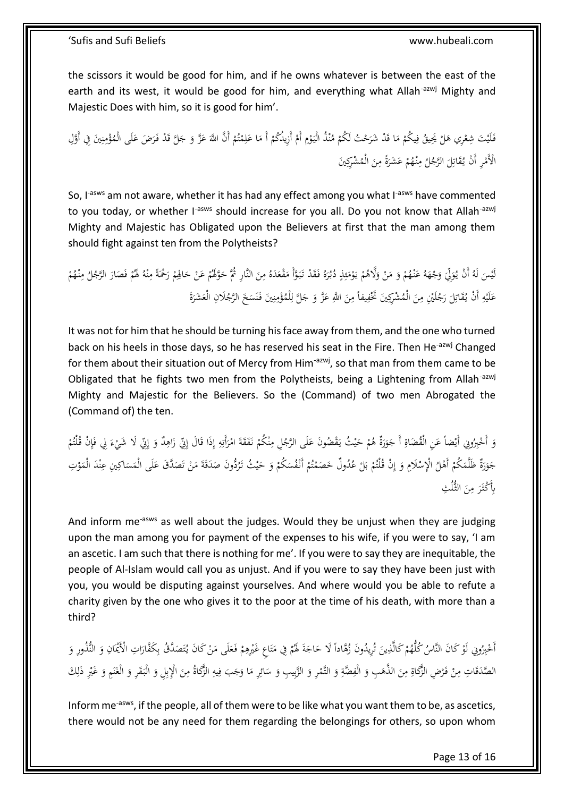the scissors it would be good for him, and if he owns whatever is between the east of the earth and its west, it would be good for him, and everything what Allah<sup>-azwj</sup> Mighty and Majestic Does with him, so it is good for him'.

فَلَيْتَ شِعْرِي هَلْ يَحِيقُ فِيكُمْ مَا قَدْ شَرَحْتُ لَكُمْ مُنْذُ الْيَوْمِ أَمْ أَزِيدُكُمْ أَ مَا عَلِمْتُمْ أَنَّ اللَّهَ عَزَّ وَ جَلَّ قَدْ فَرَضَ عَلَى الْمُؤْمِنِينَ فِي أَوَّلِ ْ ِ <u>ٔ</u>  $\ddot{\phantom{0}}$ ن ْ .<br>ر ا<br>ا ْ ِ.<br>فر ْ ْ .<br>أ َ َ ْ ت ا<br>أ ِ َ ا<br>ا ْ ِ ن ِ ْ َ َ الْأَمْرِ أَنْ يُقَاتِلَ الرَّجُلُ مِنْهُمْ عَشَرَةً مِنَ الْمُشْرِكِينَ َ **∕** َ ْ **∕** َ ِ ُمُ ابر<br>ا

So, I<sup>-asws</sup> am not aware, whether it has had any effect among you what I<sup>-asws</sup> have commented to you today, or whether I<sup>-asws</sup> should increase for you all. Do you not know that Allah<sup>-azwj</sup> Mighty and Majestic has Obligated upon the Believers at first that the man among them should fight against ten from the Polytheists?

لَيْسَ لَهُ أَنْ يُوَلِّيَ وَجْهَهُ عَنْهُمْ وَ مَنْ وَلَاهُمْ يَوْمَئِذٍ دُبُرَهُ فَقَدْ تَبَوَّأَ مَقْعَدَهُ مِنَ النَّارِ ثُمَّ حَوَّلَهُمْ عَنْ حَالِهِمْ رَحْمَةً مِنْهُ لَهُمْ فَصَارَ الرَّجُلُ مِنْهُمْ َ ∕  $\overline{\phantom{a}}$ َ ا<br>ا  $\ddot{\phantom{0}}$ َ َ **ٍ** ِ ئ ا<br>ا <u>ٔ</u> يا<br>. َ ْ ا<br>ا َ ْ َ َ ْ ٍ<br>ر  $\zeta$ ئي<br>نه َ ْ ر<br>ا  $\overline{a}$ ْ ن ِ ُ<br>ن ْ َ ْ َ عَلَيْهِ أَنْ يُقَاتِلَ رَجُلَيْنِ مِنَ الْمُشْرِكِينَ تَخْفِيفاً مِنَ اللَّهِ عَزَّ وَ جَلَّ لِلْمُؤْمِنِينَ فَنَسَخَ الرَّجُلَانِ الْعَشَرَةَ َ **∕**  $\frac{1}{2}$ َ ِ َ ِ **:** َ ة<br>أ َ َ  $\ddot{\phantom{0}}$ ن .<br>ئ ن ِ ْ ْل ل َ َ َ َ ِ ِ

It was not for him that he should be turning his face away from them, and the one who turned back on his heels in those days, so he has reserved his seat in the Fire. Then He<sup>-azwj</sup> Changed for them about their situation out of Mercy from Him<sup>-azwj</sup>, so that man from them came to be Obligated that he fights two men from the Polytheists, being a Lightening from Allah-azwj Mighty and Majestic for the Believers. So the (Command) of two men Abrogated the (Command of) the ten.

وَ أَحْبِرُونِي أَيْضاً عَنِ الْقُضَاةِ أَ جَوَرَةٌ هُمْ حَيْثُ يَقْضُونَ عَلَى الرَّجُلِ مِنْكُمْ نَفَقَةَ امْرَأَتِهِ إِذَا قَالَ إِنِّي زَاهِدٌ وَ إِنِّي لَا شَيْءَ لِي فَإِنْ قُلْتُمْ ِ إ ِ ِ<br>نا َ ا<br>ا <u>ة</u> ْ ن ِ َ .<br>ا ي َ َ َ َ ; َ **ٔ** َ َ ْ ٍٍٍٍٍٍٍٍٍٍٍٍٍٍٍٍٍٍٍٍٍٍٍٍٍٍ إ َ ِ زا<br>ا ٍٍٍٍٍٍٍٍٍٍٍٍٍٍٍٍٍٍٍٍٍٍٍٍٍٍ ْ ِ ٍ<br>أ َ جَوَرَةٌ ظَلَّمَكُمْ أَهْلُ الْإِسْلَامِ وَ إِنْ قُلْتُمْ بَلْ عُدُولٌ حَصَمْتُمْ أَنْفُسَكُمْ وَ حَيْثُ تَرُدُّونَ صَدَقَةَ مَنْ تَصَدَّقَ عَلَى الْمَسَاكِينِ عِنْدَ الْمَوْتِ َ ِّ َ ت .<br>.  $\overline{\phantom{a}}$ ٔ<br>ا  $\overline{\phantom{a}}$ َ َ ْ  $\ddot{\phantom{0}}$ ْ ت ام<br>ا  $\overline{\phantom{a}}$ <sup> $\overline{a}$ </sup> با ب <sup>(</sup> ِ إ َ ْ <sup>t</sup>  $\overline{a}$ <u>ٔ</u>  $\overline{a}$ ا<br>ا ن  $\ddot{\phantom{0}}$ َ بِأَكْثَرَ مِنَ الثُّلُثِ َ ِ َ

And inform me<sup>-asws</sup> as well about the judges. Would they be unjust when they are judging upon the man among you for payment of the expenses to his wife, if you were to say, 'I am an ascetic. I am such that there is nothing for me'. If you were to say they are inequitable, the people of Al-Islam would call you as unjust. And if you were to say they have been just with you, you would be disputing against yourselves. And where would you be able to refute a charity given by the one who gives it to the poor at the time of his death, with more than a third?

أَخْيِرُونِي لَوْ كَانَ النَّاسُ كُلُّهُمْ كَالَّذِينَ تُرِيدُونَ زُهَّاداً لَا حَاجَةَ لَهُمْ فِي مَتَاعِ غَيْرِهِمْ فَعَلَى مَنْ كَانَ يُتَصَدَّقُ بِكَفَّارَاتِ الْأَيْمَانِ وَ النُّذُورِ وَ **ٔ** .<br>أم ت .<br>. ا<br>ا َ ِ ْ .<br>أ ت ا<br>ا <sup>t</sup> َ َ بر<br>ت َ ِ <sup>(</sup> <u>ٔ</u> َ َ ـــة<br>المراجع<br>المراجع ا َ ِ  $\overline{a}$ الصَّدَقَاتِ مِنْ فَرْضِ الزَّكَاةِ مِنَ الذَّهَبِ وَ الْفِضَّةِ وَ النَّيْمِ وَ الزَّبِيبِ وَ سَائِرِ مَا وَجَبَ فِيهِ الزَّكَاةُ مِنَ الْإِبِلِ وَ الْبَقَرِ وَ الْغَنَمِ وَ غَيْرِ ذَلِكَ ا<br>أ َ ِ ِ َ ٔ<br>أ َ ∕  $\ddot{\tilde{c}}$ .<br>.<br>. ْ ِ ن<br>ن **ـ** :<br>ا ∕. ِ ِ َ َ  $\overline{\phantom{a}}$ ِ<br>ئو  $\overline{a}$ َ َ ِ ْ َ .<br>. ن َ َ .<br>م  $\ddot{\cdot}$ َ ِ ب

Inform me-asws, if the people, all of them were to be like what you want them to be, as ascetics, there would not be any need for them regarding the belongings for others, so upon whom

Page 13 of 16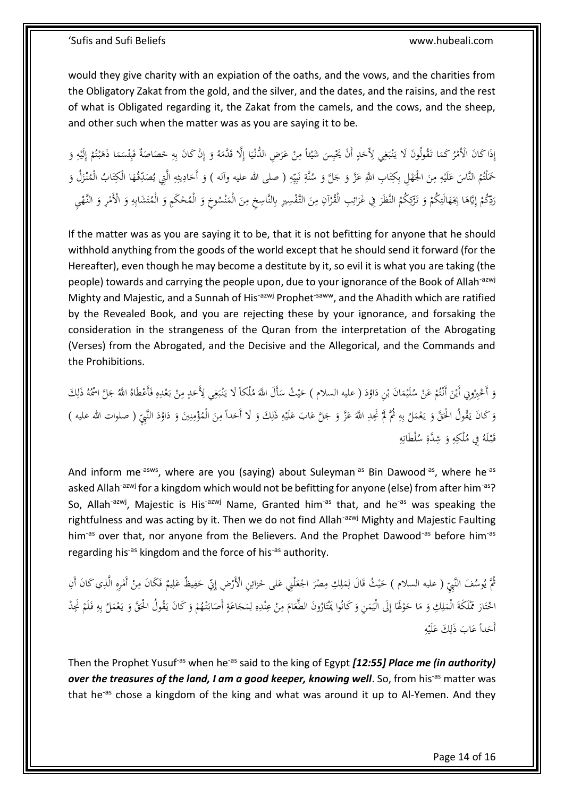would they give charity with an expiation of the oaths, and the vows, and the charities from the Obligatory Zakat from the gold, and the silver, and the dates, and the raisins, and the rest of what is Obligated regarding it, the Zakat from the camels, and the cows, and the sheep, and other such when the matter was as you are saying it to be.

َ إِذَا كَانَ الْأَمْرُ كَمَا تَقُولُونَ لَا يَنْبَغِي لِأَحَدٍ أَنْ يَحْبِسَ شَيْئاً مِنْ عَرَضِ الدُّنْيَا إِلَّا قَدَّمَهُ وَ إِنْ كَانَ بِهِ خَصَاصَةٌ فَبِئْسَمَا ذَهَبْتُمْ إِلَيْهِ وَ ام<br>ا َ **ٔ** ي :<br>. َ َ .<br>-<br>-ِ يا<br>: .<br>-ب ْ **ٍ** َ ِ َ ب .<br>. ب<br>أ ا<br>ا ן, ِ إ َ ِ **ٔ** ِ إ ْ ت ْ ٔ<br>ا ٍ<br>م  $\ddot{\phantom{0}}$ ئ ِ ب ة.<br>أ  $\overline{a}$  $\overline{\phantom{a}}$ ِ ِ حَمَلْتُمُ النَّاسَ عَلَيْهِ مِنَ الْجَهْلِ بِكِتَابِ اللَّهِ عَزَّ وَ جَلَّ وَ سُنَّةِ نَبِيِّهِ ( صلى الله عليه وآله ) وَ أَحَادِيثِهِ الَّتِي يُصَدِّقُهَا الْكِتَابُ الْمُنْزَلُ وَ َ ِ ِ ي ֦֧֦֧<u>֓</u> ب ن<br>أ ن<br>ن <u>ہے</u> َ َ َ َ َ ت ْ َ َ ِ ِ **:** َ  $\overline{\phantom{0}}$ َ ز<br>ً .<br>أ ت َ ٍ<br>با  $\overline{a}$ <u>ہ</u> ؚ<br>ڹ ∫<br>∹ َ ِ إ ْ رَدِّكُمْ إِيَّاهَا بِجَهَالَتِكُمْ وَ تَرْكِكُمُ النَّظَرَ فِي غَرَائِبِ الْقُرْآنِ مِنَ التَّفْسِيرِ بِالنَّاسِخِ مِنَ الْمَنْسُوخِ وَ الْمُحْكَمِ وَ الْمُتَشَابِهِ وَ الْأَمْرِ وَ النَّهْيِ ∫<br>∶ َ َ ن  $\overline{a}$ َ ∕' َ ∕' .<br>. ِ<br>ئ َ .<br>ن ْ َ ْ ِ َ ٔ<br>ا ٔ<br>أ ْ َ ْ َ ِم<br>ٍ ِ ت َ ْ

If the matter was as you are saying it to be, that it is not befitting for anyone that he should withhold anything from the goods of the world except that he should send it forward (for the Hereafter), even though he may become a destitute by it, so evil it is what you are taking (the people) towards and carrying the people upon, due to your ignorance of the Book of Allah<sup>-azwj</sup> Mighty and Majestic, and a Sunnah of His<sup>-azwj</sup> Prophet<sup>-saww</sup>, and the Ahadith which are ratified by the Revealed Book, and you are rejecting these by your ignorance, and forsaking the consideration in the strangeness of the Quran from the interpretation of the Abrogating (Verses) from the Abrogated, and the Decisive and the Allegorical, and the Commands and the Prohibitions.

وَ أَحْبِرُونِي أَيْنَ أَنْتُمْ عَنْ سُلَيْمَانَ بْنِ دَاوُدَ ( عليه السلام ) حَيْثُ سَأَلَ اللَّهَ مُلْكَأَ لَا يَنْبَغِي لِأَحَدٍ مِنْ بَعْدِهِ فَأَعْطَاهُ اللَّهُ جَلَّ اسْمُهُ ذَلِكَ ي َ َ َ ْ  $\overline{a}$ **ٔ** ْ ت ْ َ **ٔ** َ .<br>-<br>-ِ **ٍ** َ ِ ؘ ب .<br>. ب<br>أ َ  $\ddot{\phantom{0}}$ ِ ا .<br>. .<br>ئ ِ ِ ْ َ َ وَ كَانَ يَقُولُ الْحَقَّ وَ يَعْمَلُ بِهِ ثُمَّ لَمْ نَجِدِ اللَّهَ عَزَّ وَ جَلَّ عَابَ عَلَيْهِ ذَلِكَ وَ لَا أَحَداً مِنَ الْمُؤْمِنِينَ وَ دَاوُدَ النَّبِيِّ ( صلوات الله عليه )<br>. ∕. َ َ ِ ِ **ٔ** َ َ َ َ  $\ddot{\phantom{0}}$ ِ <sup> $\overline{a}$ </sup> ِ ِ ب  $\overline{a}$ و<br>ا . َ َ َ ٔ.<br>ا ٔ<br>ا َ ِ ن ِم∕ ة<br>م ِ قَبْلَهُ فِي مُلْكِهِ وَ شِدَّةِ سُلْطَانِهِ ِ  $\ddot{\tilde{c}}$ َ ِ .<br>. َ

And inform me<sup>-asws</sup>, where are you (saying) about Suleyman<sup>-as</sup> Bin Dawood<sup>-as</sup>, where he<sup>-as</sup> asked Allah<sup>-azwj</sup> for a kingdom which would not be befitting for anyone (else) from after him<sup>-as</sup>? So, Allah<sup>-azwj</sup>, Majestic is His<sup>-azwj</sup> Name, Granted him<sup>-as</sup> that, and he<sup>-as</sup> was speaking the rightfulness and was acting by it. Then we do not find Allah<sup>-azwj</sup> Mighty and Majestic Faulting him<sup>-as</sup> over that, nor anyone from the Believers. And the Prophet Dawood<sup>-as</sup> before him<sup>-as</sup> regarding his<sup>-as</sup> kingdom and the force of his<sup>-as</sup> authority.

مُّ يُوسُفَ النَّبِيِّ ( عليه السلام ) حَيْثُ قَالَ لِمَلِكِ مِصْرَ اجْعَلْنِي عَلَى خَزائِنِ الْأَرْضِ إِنِّي حَفِيظٌ عَلِيمٌ فَكَانَ مِنْ أَمْرِهِ الَّذِي كَانَ أَنِ<br>.  $\int$ ر<br>أ ِ<br>ئې َ َ َ ْ َ ∕.  $\overline{a}$ ِ ق<br>ف ي َ ِ َ ِ ِ ْ .<br>.<br>. ِ<br>ِم ِ َ الْحَتَارَ مُّلَكَةَ الْمَلِكِ وَ مَا حَوْلَهَا إِلَى الْيَمَنِ وَ كَانُوا يَمْتَارُونَ الطَّعَامَ مِنْ عِنْدِهِ لِمَجَاعَةٍ أَصَابَتْهُمْ وَ كَانَ يَقُولُ الْحَقَّ وَ يَعْمَلُ بِهِ فَلَمْ نَجِدْ *<u>a*</u> َ َ ِ ل ِ ِ ن ْ ِ َ َ َ ت َ  $\overline{a}$ ا<br>ا ِ ۱ <u>ٔ</u> َ ا<br>ا َ  $\overline{a}$ <u>:</u> .<br>. <u>:</u> ت **ٔ** با<br>ا  $\overline{\phantom{a}}$ ِ َ ِ<br>با ب  $\overline{a}$ ْ يا<br>. َ َ ب<br>أ َ ْ َ أَحَداً عَابَ ذَٰلِكَ عَلَيْهِ ِ **ٔ** </sub> ِ َ

Then the Prophet Yusuf<sup>-as</sup> when he<sup>-as</sup> said to the king of Egypt *[12:55] Place me (in authority) over the treasures of the land, I am a good keeper, knowing well.* **So, from his<sup>-as</sup> matter was** that he<sup>-as</sup> chose a kingdom of the king and what was around it up to Al-Yemen. And they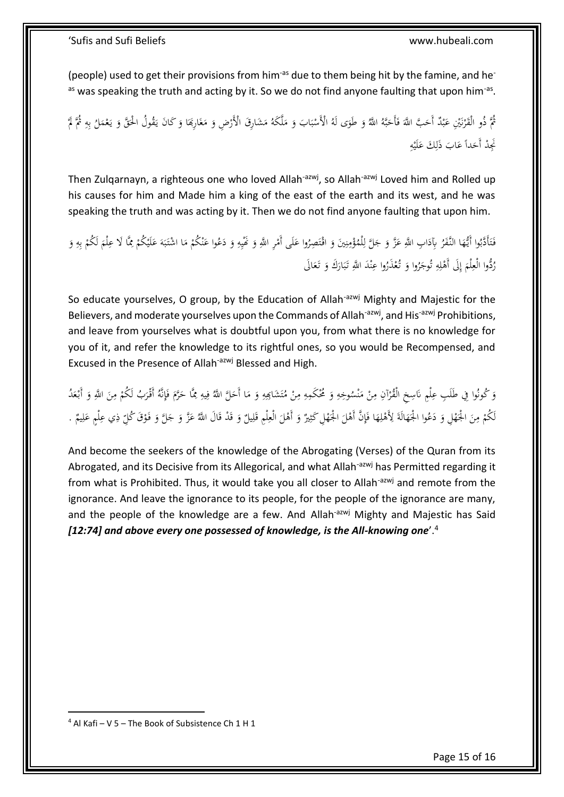(people) used to get their provisions from him<sup>-as</sup> due to them being hit by the famine, and he<sup>-</sup> as was speaking the truth and acting by it. So we do not find anyone faulting that upon him<sup>-as</sup>.

ثُمَّ ذُو الْقَرْنَيْنِ عَبْدٌ أَحَبَّ اللَّهَ فَأَحَبَّهُ اللَّهُ وَ طَوَى لَهُ الْأَسْبَابَ وَ مَلَّكَهُ مَشَارِقَ الْأَرْضِ وَ مَغَارِبَهَا وَ كَانَ يَقُولُ الْحَقَّ وَ يَعْمَلُ بِهِ ثُمَّ لَمْ  $\overline{\phantom{a}}$ َ ر<br>ا ام<br>ا َ  $\ddot{\cdot}$ ب **ٔ** َ ب َ َ  $\ddot{\phantom{0}}$ َ ب ر<br>ا ن .<br>. **أ** ِ ِ ب  $\overline{a}$ ْ يا<br>. َ ن<br>أ ب<br>: َ ِ نُجِدْ أَحَداً عَابَ ذَلِكَ عَلَيْهِ **:** َ ِ َ َ

Then Zulqarnayn, a righteous one who loved Allah<sup>-azwj</sup>, so Allah<sup>-azwj</sup> Loved him and Rolled up his causes for him and Made him a king of the east of the earth and its west, and he was speaking the truth and was acting by it. Then we do not find anyone faulting that upon him.

فَتَأَدَّبُوا أَيُّهَا النَّفَرُ بِآدَابِ اللَّهِ عَزَّ وَ جَلَّ لِلْمُؤْمِنِينَ وَ اقْتَصِرُوا عَلَى أَمْرِ اللَّهِ وَ نَهْنِيهِ وَ دَعُوا عَنْكُمْ مَا اشْتَبَهَ عَلَيْكُمْ مِمَّا لَا عِلْمَ لَكُمْ بِهِ وَ .<br>أ ت َ َ ِ ِ ي َ ْ َ َ َ .<br>نم ن ِ ْ ڵ<br>ڵ َ ُ<br>أ ا ا<br>ا َ َ َ ِ ِ<br>با ب ْ َ **∶** ْ **ٔ** َ َ  $\ddot{\cdot}$ ب **ئ**ر َ ْ ن ــ<br>-رُدُّوا الْعِلْمَ إِلَى أَهْلِهِ تُوجَرُوا وَ تُعْذَرُوا عِنْدَ اللَّهِ تَبَارَكَ وَ تَعَالَى ن ْ َ َ م<br>ت ِ J ر<br>أ |<br>إ إ ا .<br>ف َ َ َ  $\ddot{\cdot}$ ب ِ<br>ن

So educate yourselves, O group, by the Education of Allah<sup>-azwj</sup> Mighty and Majestic for the Believers, and moderate yourselves upon the Commands of Allah<sup>-azwj</sup>, and His<sup>-azwj</sup> Prohibitions, and leave from yourselves what is doubtful upon you, from what there is no knowledge for you of it, and refer the knowledge to its rightful ones, so you would be Recompensed, and Excused in the Presence of Allah<sup>-azwj</sup> Blessed and High.

وَ كُونُوا فِي طَلَبِ عِلْمٍ نَاسِخِ الْقُرْآنِ مِنْ مَنْسُوخِهِ وَ مُحْكَمِهِ مِنْ مُتَشَابِمِهِ وَ مَا أَحَلَّ اللَّهُ فِيهِ مِمَّا حَرَّمَ فَإِنَّهُ أَقْرَبُ لَكُمْ مِنَ اللَّهِ وَ أَبْعَدُ ن ا<br>ا ْ ِ .<br>.<br>.  $\overline{a}$ َ ِ ٍ<br>أ َ َ ِ ⊿<br>ٍ ِ  $\overline{\phantom{a}}$ َ ِ ت .<br>. ِ ⊿<br>ٍ َ ِ َ **ٔ** َ <u>:</u> ∕. ْ َ لَكُمْ مِنَ الْجَهْلِ وَ دَعُوا الْجَهَالَةَ لِأَهْلِهَا فَإِنَّ أَهْلَ الْجُهْلِ كَثِيرٌ وَ أَهْلَ الْعِلْمِ قَلِيلٌ وَ قَدْ قَالَ اللَّهُ عَزَّ وَ جَلَّ وَ فَوْقَ كُلِّ ذِي عِلْمٍ عَلِيمٌ . ِ ق لْ ِ َ َ ڹ ْ ٔ<br>أ َ ِ ِّي<br>أ َ ِ **ٔ** َ َ َ ْ َ َ ِ ْ َ ِ َ <u>:</u> <u>ٔ</u> َ َ َ َ

And become the seekers of the knowledge of the Abrogating (Verses) of the Quran from its Abrogated, and its Decisive from its Allegorical, and what Allah<sup>-azwj</sup> has Permitted regarding it from what is Prohibited. Thus, it would take you all closer to Allah<sup>-azwj</sup> and remote from the ignorance. And leave the ignorance to its people, for the people of the ignorance are many, and the people of the knowledge are a few. And Allah<sup>-azwj</sup> Mighty and Majestic has Said *[12:74] and above every one possessed of knowledge, is the All-knowing one*'.<sup>4</sup>

 $4$  Al Kafi – V 5 – The Book of Subsistence Ch 1 H 1

1